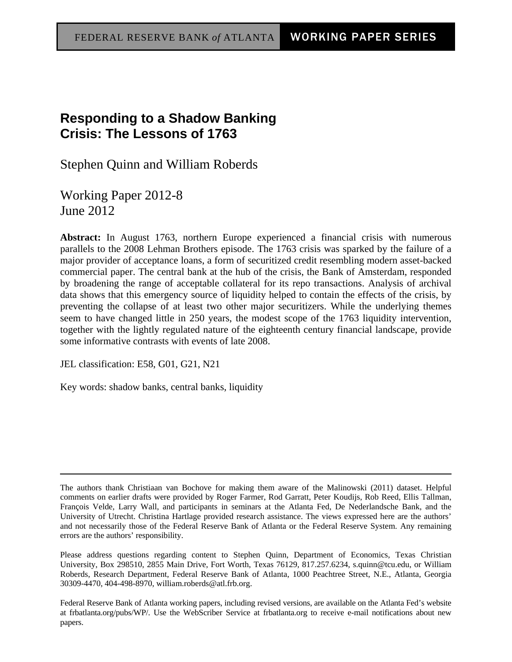# **Responding to a Shadow Banking Crisis: The Lessons of 1763**

Stephen Quinn and William Roberds

Working Paper 2012-8 June 2012

**Abstract:** In August 1763, northern Europe experienced a financial crisis with numerous parallels to the 2008 Lehman Brothers episode. The 1763 crisis was sparked by the failure of a major provider of acceptance loans, a form of securitized credit resembling modern asset-backed commercial paper. The central bank at the hub of the crisis, the Bank of Amsterdam, responded by broadening the range of acceptable collateral for its repo transactions. Analysis of archival data shows that this emergency source of liquidity helped to contain the effects of the crisis, by preventing the collapse of at least two other major securitizers. While the underlying themes seem to have changed little in 250 years, the modest scope of the 1763 liquidity intervention, together with the lightly regulated nature of the eighteenth century financial landscape, provide some informative contrasts with events of late 2008.

JEL classification: E58, G01, G21, N21

Key words: shadow banks, central banks, liquidity

Federal Reserve Bank of Atlanta working papers, including revised versions, are available on the Atlanta Fed's website at frbatlanta.org/pubs/WP/. Use the WebScriber Service at frbatlanta.org to receive e-mail notifications about new papers.

The authors thank Christiaan van Bochove for making them aware of the Malinowski (2011) dataset. Helpful comments on earlier drafts were provided by Roger Farmer, Rod Garratt, Peter Koudijs, Rob Reed, Ellis Tallman, François Velde, Larry Wall, and participants in seminars at the Atlanta Fed, De Nederlandsche Bank, and the University of Utrecht. Christina Hartlage provided research assistance. The views expressed here are the authors' and not necessarily those of the Federal Reserve Bank of Atlanta or the Federal Reserve System. Any remaining errors are the authors' responsibility.

Please address questions regarding content to Stephen Quinn, Department of Economics, Texas Christian University, Box 298510, 2855 Main Drive, Fort Worth, Texas 76129, 817.257.6234, s.quinn@tcu.edu, or William Roberds, Research Department, Federal Reserve Bank of Atlanta, 1000 Peachtree Street, N.E., Atlanta, Georgia 30309-4470, 404-498-8970, william.roberds@atl.frb.org.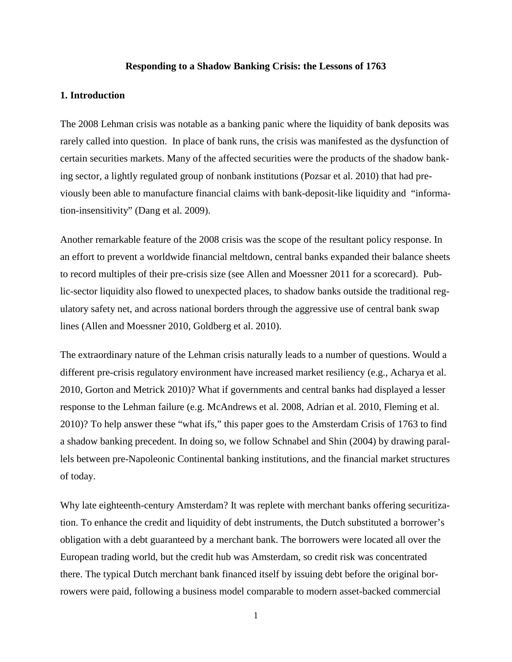### **Responding to a Shadow Banking Crisis: the Lessons of 1763**

#### **1. Introduction**

The 2008 Lehman crisis was notable as a banking panic where the liquidity of bank deposits was rarely called into question. In place of bank runs, the crisis was manifested as the dysfunction of certain securities markets. Many of the affected securities were the products of the shadow banking sector, a lightly regulated group of nonbank institutions (Pozsar et al. 2010) that had previously been able to manufacture financial claims with bank-deposit-like liquidity and "information-insensitivity" (Dang et al. 2009).

Another remarkable feature of the 2008 crisis was the scope of the resultant policy response. In an effort to prevent a worldwide financial meltdown, central banks expanded their balance sheets to record multiples of their pre-crisis size (see Allen and Moessner 2011 for a scorecard). Public-sector liquidity also flowed to unexpected places, to shadow banks outside the traditional regulatory safety net, and across national borders through the aggressive use of central bank swap lines (Allen and Moessner 2010, Goldberg et al. 2010).

The extraordinary nature of the Lehman crisis naturally leads to a number of questions. Would a different pre-crisis regulatory environment have increased market resiliency (e.g., Acharya et al. 2010, Gorton and Metrick 2010)? What if governments and central banks had displayed a lesser response to the Lehman failure (e.g. McAndrews et al. 2008, Adrian et al. 2010, Fleming et al. 2010)? To help answer these "what ifs," this paper goes to the Amsterdam Crisis of 1763 to find a shadow banking precedent. In doing so, we follow Schnabel and Shin (2004) by drawing parallels between pre-Napoleonic Continental banking institutions, and the financial market structures of today.

Why late eighteenth-century Amsterdam? It was replete with merchant banks offering securitization. To enhance the credit and liquidity of debt instruments, the Dutch substituted a borrower's obligation with a debt guaranteed by a merchant bank. The borrowers were located all over the European trading world, but the credit hub was Amsterdam, so credit risk was concentrated there. The typical Dutch merchant bank financed itself by issuing debt before the original borrowers were paid, following a business model comparable to modern asset-backed commercial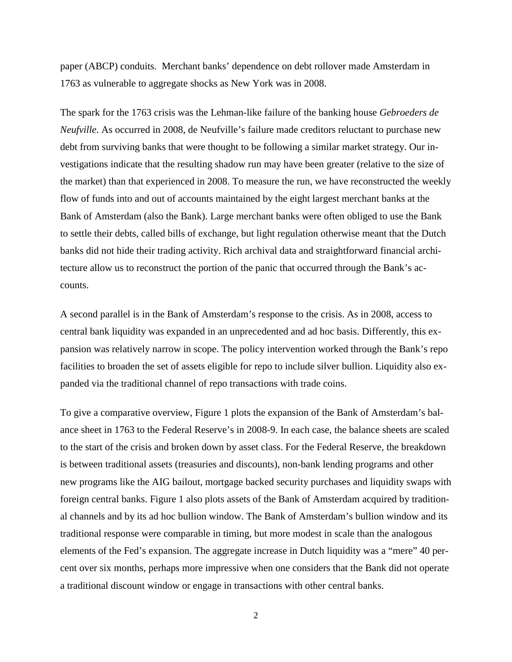paper (ABCP) conduits. Merchant banks' dependence on debt rollover made Amsterdam in 1763 as vulnerable to aggregate shocks as New York was in 2008.

The spark for the 1763 crisis was the Lehman-like failure of the banking house *Gebroeders de Neufville*. As occurred in 2008, de Neufville's failure made creditors reluctant to purchase new debt from surviving banks that were thought to be following a similar market strategy. Our investigations indicate that the resulting shadow run may have been greater (relative to the size of the market) than that experienced in 2008. To measure the run, we have reconstructed the weekly flow of funds into and out of accounts maintained by the eight largest merchant banks at the Bank of Amsterdam (also the Bank). Large merchant banks were often obliged to use the Bank to settle their debts, called bills of exchange, but light regulation otherwise meant that the Dutch banks did not hide their trading activity. Rich archival data and straightforward financial architecture allow us to reconstruct the portion of the panic that occurred through the Bank's accounts.

A second parallel is in the Bank of Amsterdam's response to the crisis. As in 2008, access to central bank liquidity was expanded in an unprecedented and ad hoc basis. Differently, this expansion was relatively narrow in scope. The policy intervention worked through the Bank's repo facilities to broaden the set of assets eligible for repo to include silver bullion. Liquidity also expanded via the traditional channel of repo transactions with trade coins.

To give a comparative overview, Figure 1 plots the expansion of the Bank of Amsterdam's balance sheet in 1763 to the Federal Reserve's in 2008-9. In each case, the balance sheets are scaled to the start of the crisis and broken down by asset class. For the Federal Reserve, the breakdown is between traditional assets (treasuries and discounts), non-bank lending programs and other new programs like the AIG bailout, mortgage backed security purchases and liquidity swaps with foreign central banks. Figure 1 also plots assets of the Bank of Amsterdam acquired by traditional channels and by its ad hoc bullion window. The Bank of Amsterdam's bullion window and its traditional response were comparable in timing, but more modest in scale than the analogous elements of the Fed's expansion. The aggregate increase in Dutch liquidity was a "mere" 40 percent over six months, perhaps more impressive when one considers that the Bank did not operate a traditional discount window or engage in transactions with other central banks.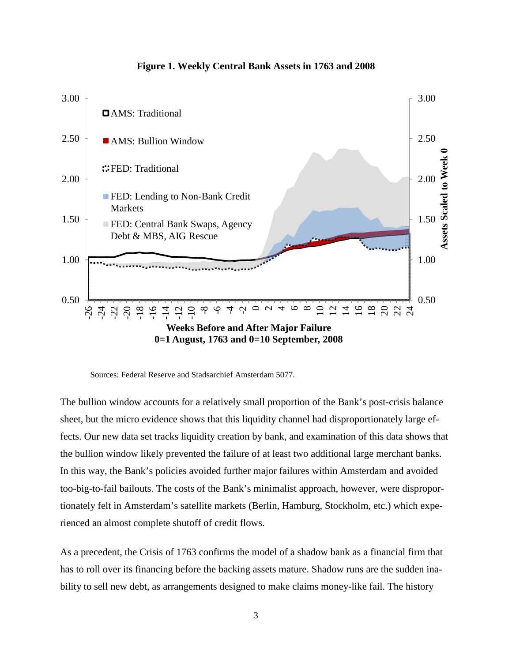

**Figure 1. Weekly y Central Bank Assets in 1763 and 2008** 

Sources: Federal Reserve and Stads sarchief Amsterdam 5077.

The bullion window accounts for a relatively small proportion of the Bank's post-crisis balance sheet, but the micro evidence shows that this liquidity channel had disproportionately large effects. Our new data set tracks liquidity creation by bank, and examination of this data shows that the bullion window likely prevented the failure of at least two additional large merchant banks. In this way, the Bank's policies avoided further major failures within Amsterdam and avoided too-big-to-fail bailouts. The costs of the Bank's minimalist approach, however, were disproportionately felt in Amsterdam's satellite markets (Berlin, Hamburg, Stockholm, etc.) which experienced an almost complete shutoff of credit flows.

As a precedent, the Crisis of 1763 confirms the model of a shadow bank as a financial firm that has to roll over its financing before the backing assets mature. Shadow runs are the sudden inability to sell new debt, as arrangements designed to make claims money-like fail. The history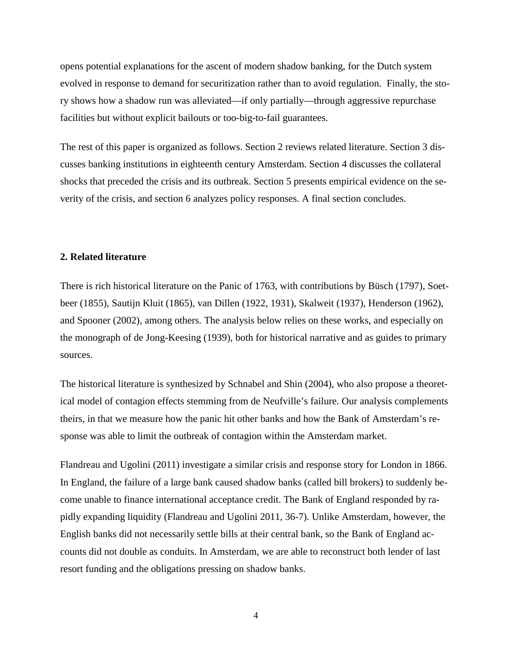opens potential explanations for the ascent of modern shadow banking, for the Dutch system evolved in response to demand for securitization rather than to avoid regulation. Finally, the story shows how a shadow run was alleviated—if only partially—through aggressive repurchase facilities but without explicit bailouts or too-big-to-fail guarantees.

The rest of this paper is organized as follows. Section 2 reviews related literature. Section 3 discusses banking institutions in eighteenth century Amsterdam. Section 4 discusses the collateral shocks that preceded the crisis and its outbreak. Section 5 presents empirical evidence on the severity of the crisis, and section 6 analyzes policy responses. A final section concludes.

## **2. Related literature**

There is rich historical literature on the Panic of 1763, with contributions by Büsch (1797), Soetbeer (1855), Sautijn Kluit (1865), van Dillen (1922, 1931), Skalweit (1937), Henderson (1962), and Spooner (2002), among others. The analysis below relies on these works, and especially on the monograph of de Jong-Keesing (1939), both for historical narrative and as guides to primary sources.

The historical literature is synthesized by Schnabel and Shin (2004), who also propose a theoretical model of contagion effects stemming from de Neufville's failure. Our analysis complements theirs, in that we measure how the panic hit other banks and how the Bank of Amsterdam's response was able to limit the outbreak of contagion within the Amsterdam market.

Flandreau and Ugolini (2011) investigate a similar crisis and response story for London in 1866. In England, the failure of a large bank caused shadow banks (called bill brokers) to suddenly become unable to finance international acceptance credit. The Bank of England responded by rapidly expanding liquidity (Flandreau and Ugolini 2011, 36-7). Unlike Amsterdam, however, the English banks did not necessarily settle bills at their central bank, so the Bank of England accounts did not double as conduits. In Amsterdam, we are able to reconstruct both lender of last resort funding and the obligations pressing on shadow banks.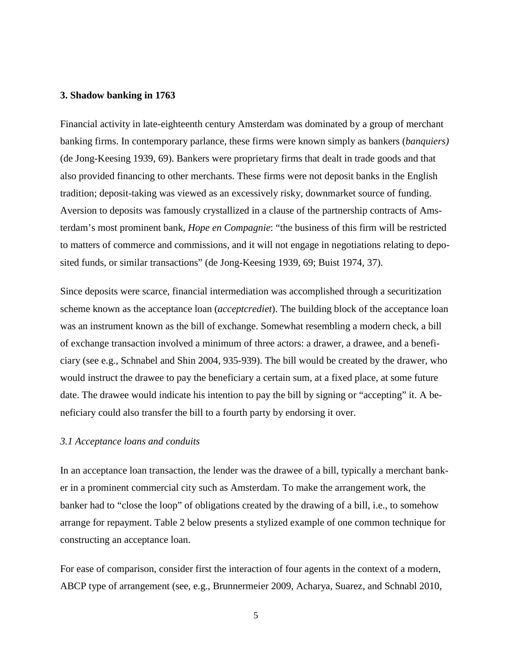#### **3. Shadow banking in 1763**

Financial activity in late-eighteenth century Amsterdam was dominated by a group of merchant banking firms. In contemporary parlance, these firms were known simply as bankers (*banquiers)*  (de Jong-Keesing 1939, 69). Bankers were proprietary firms that dealt in trade goods and that also provided financing to other merchants. These firms were not deposit banks in the English tradition; deposit-taking was viewed as an excessively risky, downmarket source of funding. Aversion to deposits was famously crystallized in a clause of the partnership contracts of Amsterdam's most prominent bank, *Hope en Compagnie*: "the business of this firm will be restricted to matters of commerce and commissions, and it will not engage in negotiations relating to deposited funds, or similar transactions" (de Jong-Keesing 1939, 69; Buist 1974, 37).

Since deposits were scarce, financial intermediation was accomplished through a securitization scheme known as the acceptance loan (*acceptcrediet*). The building block of the acceptance loan was an instrument known as the bill of exchange. Somewhat resembling a modern check, a bill of exchange transaction involved a minimum of three actors: a drawer, a drawee, and a beneficiary (see e.g., Schnabel and Shin 2004, 935-939). The bill would be created by the drawer, who would instruct the drawee to pay the beneficiary a certain sum, at a fixed place, at some future date. The drawee would indicate his intention to pay the bill by signing or "accepting" it. A beneficiary could also transfer the bill to a fourth party by endorsing it over.

#### *3.1 Acceptance loans and conduits*

In an acceptance loan transaction, the lender was the drawee of a bill, typically a merchant banker in a prominent commercial city such as Amsterdam. To make the arrangement work, the banker had to "close the loop" of obligations created by the drawing of a bill, i.e., to somehow arrange for repayment. Table 2 below presents a stylized example of one common technique for constructing an acceptance loan.

For ease of comparison, consider first the interaction of four agents in the context of a modern, ABCP type of arrangement (see, e.g., Brunnermeier 2009, Acharya, Suarez, and Schnabl 2010,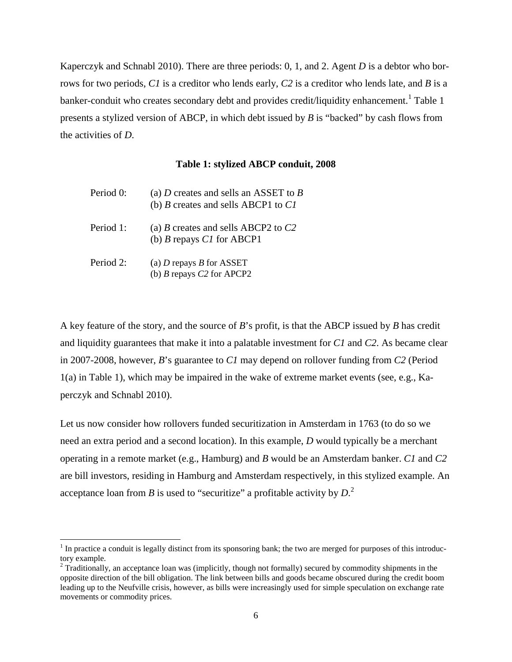Kaperczyk and Schnabl 2010). There are three periods: 0, 1, and 2. Agent *D* is a debtor who borrows for two periods, *C1* is a creditor who lends early, *C2* is a creditor who lends late, and *B* is a banker-conduit who creates secondary debt and provides credit/liquidity enhancement.<sup>1</sup> Table 1 presents a stylized version of ABCP, in which debt issued by *B* is "backed" by cash flows from the activities of *D*.

#### **Table 1: stylized ABCP conduit, 2008**

| Period 0: | (a) D creates and sells an ASSET to B<br>(b) $B$ creates and sells ABCP1 to $CI$ |
|-----------|----------------------------------------------------------------------------------|
| Period 1: | (a) B creates and sells ABCP2 to $C2$<br>(b) B repays $CI$ for ABCP1             |
| Period 2: | (a) D repays B for ASSET<br>(b) $B$ repays $C2$ for APCP2                        |

A key feature of the story, and the source of *B*'s profit, is that the ABCP issued by *B* has credit and liquidity guarantees that make it into a palatable investment for *C1* and *C2*. As became clear in 2007-2008, however, *B*'s guarantee to *C1* may depend on rollover funding from *C2* (Period 1(a) in Table 1), which may be impaired in the wake of extreme market events (see, e.g., Kaperczyk and Schnabl 2010).

Let us now consider how rollovers funded securitization in Amsterdam in 1763 (to do so we need an extra period and a second location). In this example, *D* would typically be a merchant operating in a remote market (e.g., Hamburg) and *B* would be an Amsterdam banker. *C1* and *C2*  are bill investors, residing in Hamburg and Amsterdam respectively, in this stylized example. An acceptance loan from *B* is used to "securitize" a profitable activity by  $D^2$ .

 $<sup>1</sup>$  In practice a conduit is legally distinct from its sponsoring bank; the two are merged for purposes of this introduc-</sup> tory example.

 $2$  Traditionally, an acceptance loan was (implicitly, though not formally) secured by commodity shipments in the opposite direction of the bill obligation. The link between bills and goods became obscured during the credit boom leading up to the Neufville crisis, however, as bills were increasingly used for simple speculation on exchange rate movements or commodity prices.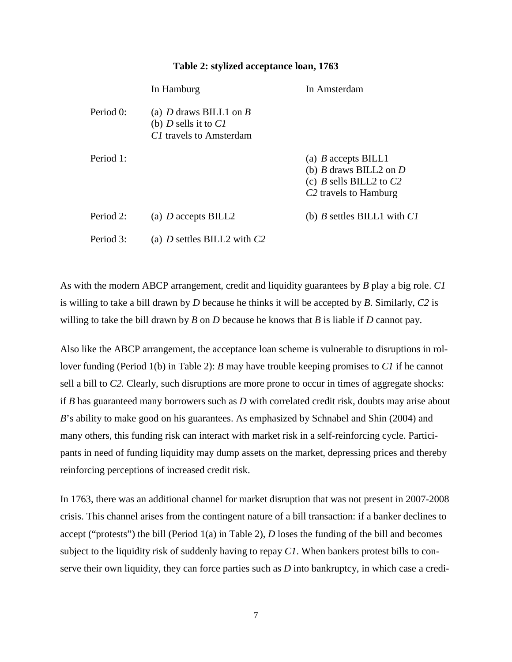### **Table 2: stylized acceptance loan, 1763**

|           | In Hamburg                                                                      | In Amsterdam                                                                                                        |
|-----------|---------------------------------------------------------------------------------|---------------------------------------------------------------------------------------------------------------------|
| Period 0: | (a) $D$ draws BILL1 on $B$<br>(b) D sells it to $CI$<br>Cl travels to Amsterdam |                                                                                                                     |
| Period 1: |                                                                                 | (a) B accepts BILL1<br>(b) $B$ draws BILL2 on $D$<br>(c) B sells BILL2 to $C2$<br>C <sub>2</sub> travels to Hamburg |
| Period 2: | (a) D accepts BILL2                                                             | (b) $B$ settles BILL1 with $CI$                                                                                     |
| Period 3: | (a) $D$ settles BILL2 with $C2$                                                 |                                                                                                                     |

As with the modern ABCP arrangement, credit and liquidity guarantees by *B* play a big role. *C1*  is willing to take a bill drawn by *D* because he thinks it will be accepted by *B*. Similarly, *C2* is willing to take the bill drawn by *B* on *D* because he knows that *B* is liable if *D* cannot pay.

Also like the ABCP arrangement, the acceptance loan scheme is vulnerable to disruptions in rollover funding (Period 1(b) in Table 2): *B* may have trouble keeping promises to *C1* if he cannot sell a bill to *C2*. Clearly, such disruptions are more prone to occur in times of aggregate shocks: if *B* has guaranteed many borrowers such as *D* with correlated credit risk, doubts may arise about *B*'s ability to make good on his guarantees. As emphasized by Schnabel and Shin (2004) and many others, this funding risk can interact with market risk in a self-reinforcing cycle. Participants in need of funding liquidity may dump assets on the market, depressing prices and thereby reinforcing perceptions of increased credit risk.

In 1763, there was an additional channel for market disruption that was not present in 2007-2008 crisis. This channel arises from the contingent nature of a bill transaction: if a banker declines to accept ("protests") the bill (Period 1(a) in Table 2), *D* loses the funding of the bill and becomes subject to the liquidity risk of suddenly having to repay *C1*. When bankers protest bills to conserve their own liquidity, they can force parties such as *D* into bankruptcy, in which case a credi-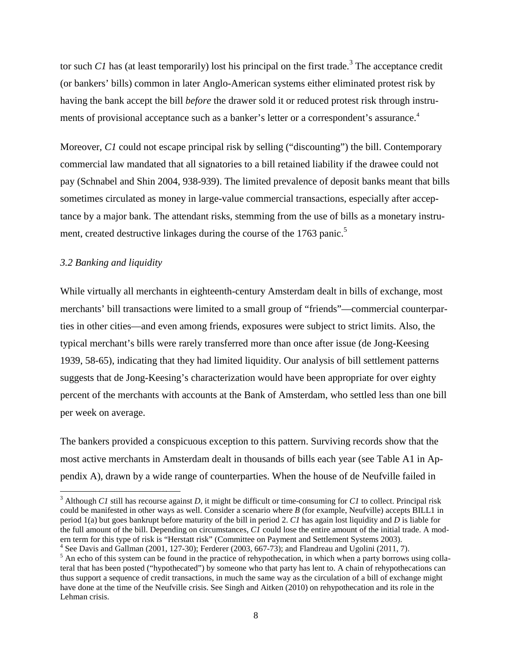tor such *C1* has (at least temporarily) lost his principal on the first trade.<sup>3</sup> The acceptance credit (or bankers' bills) common in later Anglo-American systems either eliminated protest risk by having the bank accept the bill *before* the drawer sold it or reduced protest risk through instruments of provisional acceptance such as a banker's letter or a correspondent's assurance.<sup>4</sup>

Moreover, *C1* could not escape principal risk by selling ("discounting") the bill. Contemporary commercial law mandated that all signatories to a bill retained liability if the drawee could not pay (Schnabel and Shin 2004, 938-939). The limited prevalence of deposit banks meant that bills sometimes circulated as money in large-value commercial transactions, especially after acceptance by a major bank. The attendant risks, stemming from the use of bills as a monetary instrument, created destructive linkages during the course of the 1763 panic.<sup>5</sup>

## *3.2 Banking and liquidity*

**.** 

While virtually all merchants in eighteenth-century Amsterdam dealt in bills of exchange, most merchants' bill transactions were limited to a small group of "friends"—commercial counterparties in other cities—and even among friends, exposures were subject to strict limits. Also, the typical merchant's bills were rarely transferred more than once after issue (de Jong-Keesing 1939, 58-65), indicating that they had limited liquidity. Our analysis of bill settlement patterns suggests that de Jong-Keesing's characterization would have been appropriate for over eighty percent of the merchants with accounts at the Bank of Amsterdam, who settled less than one bill per week on average.

The bankers provided a conspicuous exception to this pattern. Surviving records show that the most active merchants in Amsterdam dealt in thousands of bills each year (see Table A1 in Appendix A), drawn by a wide range of counterparties. When the house of de Neufville failed in

<sup>&</sup>lt;sup>3</sup> Although *C1* still has recourse against *D*, it might be difficult or time-consuming for *C1* to collect. Principal risk could be manifested in other ways as well. Consider a scenario where *B* (for example, Neufville) accepts BILL1 in period 1(a) but goes bankrupt before maturity of the bill in period 2. *C1* has again lost liquidity and *D* is liable for the full amount of the bill. Depending on circumstances, *C1* could lose the entire amount of the initial trade. A modern term for this type of risk is "Herstatt risk" (Committee on Payment and Settlement Systems 2003). <sup>4</sup> See Davis and Gallman (2001, 127-30); Ferderer (2003, 667-73); and Flandreau and Ugolini (2011, 7).

 $<sup>5</sup>$  An echo of this system can be found in the practice of rehypothecation, in which when a party borrows using colla-</sup> teral that has been posted ("hypothecated") by someone who that party has lent to. A chain of rehypothecations can thus support a sequence of credit transactions, in much the same way as the circulation of a bill of exchange might have done at the time of the Neufville crisis. See Singh and Aitken (2010) on rehypothecation and its role in the Lehman crisis.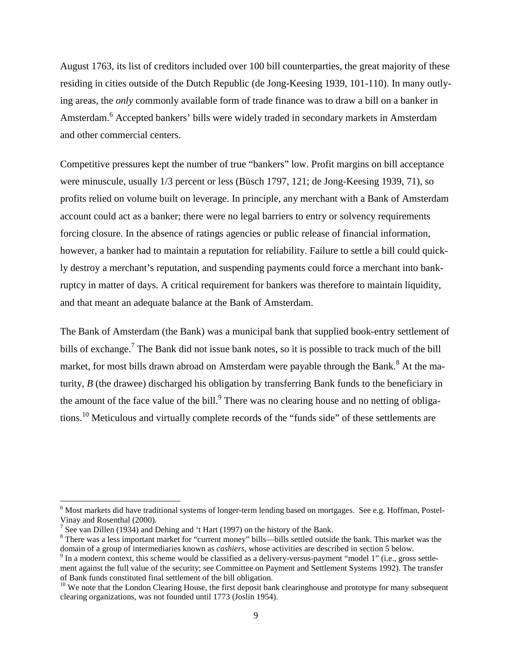August 1763, its list of creditors included over 100 bill counterparties, the great majority of these residing in cities outside of the Dutch Republic (de Jong-Keesing 1939, 101-110). In many outlying areas, the *only* commonly available form of trade finance was to draw a bill on a banker in Amsterdam.<sup>6</sup> Accepted bankers' bills were widely traded in secondary markets in Amsterdam and other commercial centers.

Competitive pressures kept the number of true "bankers" low. Profit margins on bill acceptance were minuscule, usually 1/3 percent or less (Büsch 1797, 121; de Jong-Keesing 1939, 71), so profits relied on volume built on leverage. In principle, any merchant with a Bank of Amsterdam account could act as a banker; there were no legal barriers to entry or solvency requirements forcing closure. In the absence of ratings agencies or public release of financial information, however, a banker had to maintain a reputation for reliability. Failure to settle a bill could quickly destroy a merchant's reputation, and suspending payments could force a merchant into bankruptcy in matter of days. A critical requirement for bankers was therefore to maintain liquidity, and that meant an adequate balance at the Bank of Amsterdam.

The Bank of Amsterdam (the Bank) was a municipal bank that supplied book-entry settlement of bills of exchange.<sup>7</sup> The Bank did not issue bank notes, so it is possible to track much of the bill market, for most bills drawn abroad on Amsterdam were payable through the Bank.<sup>8</sup> At the maturity, *B* (the drawee) discharged his obligation by transferring Bank funds to the beneficiary in the amount of the face value of the bill.<sup>9</sup> There was no clearing house and no netting of obligations.10 Meticulous and virtually complete records of the "funds side" of these settlements are

**.** 

<sup>&</sup>lt;sup>6</sup> Most markets did have traditional systems of longer-term lending based on mortgages. See e.g. Hoffman, Postel-Vinay and Rosenthal (2000).

<sup>&</sup>lt;sup>7</sup> See van Dillen (1934) and Dehing and 't Hart (1997) on the history of the Bank.

<sup>&</sup>lt;sup>8</sup> There was a less important market for "current money" bills—bills settled outside the bank. This market was the domain of a group of intermediaries known as *cashiers*, whose activities are described in section 5 below.

<sup>&</sup>lt;sup>9</sup> In a modern context, this scheme would be classified as a delivery-versus-payment "model 1" (i.e., gross settlement against the full value of the security; see Committee on Payment and Settlement Systems 1992). The transfer of Bank funds constituted final settlement of the bill obligation.

<sup>&</sup>lt;sup>10</sup> We note that the London Clearing House, the first deposit bank clearinghouse and prototype for many subsequent clearing organizations, was not founded until 1773 (Joslin 1954).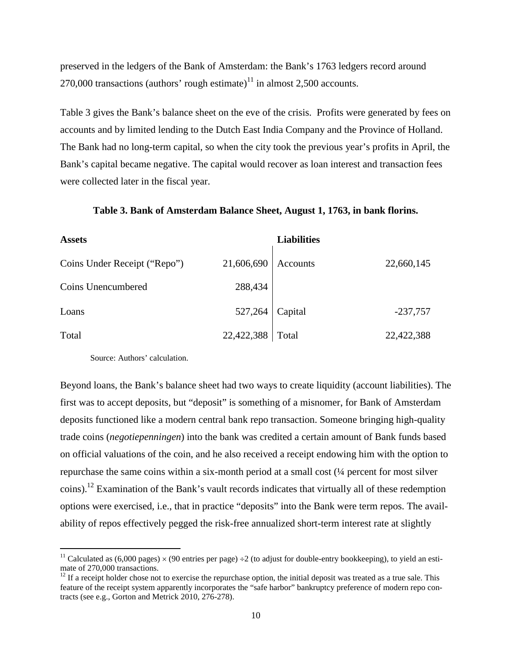preserved in the ledgers of the Bank of Amsterdam: the Bank's 1763 ledgers record around 270,000 transactions (authors' rough estimate)<sup>11</sup> in almost 2,500 accounts.

Table 3 gives the Bank's balance sheet on the eve of the crisis. Profits were generated by fees on accounts and by limited lending to the Dutch East India Company and the Province of Holland. The Bank had no long-term capital, so when the city took the previous year's profits in April, the Bank's capital became negative. The capital would recover as loan interest and transaction fees were collected later in the fiscal year.

**Table 3. Bank of Amsterdam Balance Sheet, August 1, 1763, in bank florins.** 

| <b>Assets</b>                |            | <b>Liabilities</b> |            |
|------------------------------|------------|--------------------|------------|
| Coins Under Receipt ("Repo") | 21,606,690 | Accounts           | 22,660,145 |
| Coins Unencumbered           | 288,434    |                    |            |
| Loans                        | 527,264    | Capital            | $-237,757$ |
| Total                        | 22,422,388 | Total              | 22,422,388 |

Source: Authors' calculation.

**.** 

Beyond loans, the Bank's balance sheet had two ways to create liquidity (account liabilities). The first was to accept deposits, but "deposit" is something of a misnomer, for Bank of Amsterdam deposits functioned like a modern central bank repo transaction. Someone bringing high-quality trade coins (*negotiepenningen*) into the bank was credited a certain amount of Bank funds based on official valuations of the coin, and he also received a receipt endowing him with the option to repurchase the same coins within a six-month period at a small cost (¼ percent for most silver coins).12 Examination of the Bank's vault records indicates that virtually all of these redemption options were exercised, i.e., that in practice "deposits" into the Bank were term repos. The availability of repos effectively pegged the risk-free annualized short-term interest rate at slightly

<sup>&</sup>lt;sup>11</sup> Calculated as  $(6,000 \text{ pages}) \times (90 \text{ entries per page}) \div 2$  (to adjust for double-entry bookkeeping), to yield an estimate of 270,000 transactions.

 $12$  If a receipt holder chose not to exercise the repurchase option, the initial deposit was treated as a true sale. This feature of the receipt system apparently incorporates the "safe harbor" bankruptcy preference of modern repo contracts (see e.g., Gorton and Metrick 2010, 276-278).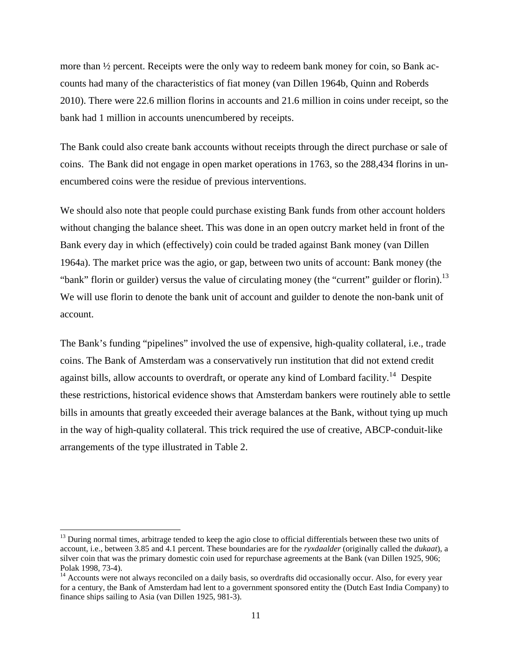more than ½ percent. Receipts were the only way to redeem bank money for coin, so Bank accounts had many of the characteristics of fiat money (van Dillen 1964b, Quinn and Roberds 2010). There were 22.6 million florins in accounts and 21.6 million in coins under receipt, so the bank had 1 million in accounts unencumbered by receipts.

The Bank could also create bank accounts without receipts through the direct purchase or sale of coins. The Bank did not engage in open market operations in 1763, so the 288,434 florins in unencumbered coins were the residue of previous interventions.

We should also note that people could purchase existing Bank funds from other account holders without changing the balance sheet. This was done in an open outcry market held in front of the Bank every day in which (effectively) coin could be traded against Bank money (van Dillen 1964a). The market price was the agio, or gap, between two units of account: Bank money (the "bank" florin or guilder) versus the value of circulating money (the "current" guilder or florin).<sup>13</sup> We will use florin to denote the bank unit of account and guilder to denote the non-bank unit of account.

The Bank's funding "pipelines" involved the use of expensive, high-quality collateral, i.e., trade coins. The Bank of Amsterdam was a conservatively run institution that did not extend credit against bills, allow accounts to overdraft, or operate any kind of Lombard facility.<sup>14</sup> Despite these restrictions, historical evidence shows that Amsterdam bankers were routinely able to settle bills in amounts that greatly exceeded their average balances at the Bank, without tying up much in the way of high-quality collateral. This trick required the use of creative, ABCP-conduit-like arrangements of the type illustrated in Table 2.

 $\overline{a}$ 

<sup>&</sup>lt;sup>13</sup> During normal times, arbitrage tended to keep the agio close to official differentials between these two units of account, i.e., between 3.85 and 4.1 percent. These boundaries are for the *ryxdaalder* (originally called the *dukaat*), a silver coin that was the primary domestic coin used for repurchase agreements at the Bank (van Dillen 1925, 906; Polak 1998, 73-4).

<sup>&</sup>lt;sup>14</sup> Accounts were not always reconciled on a daily basis, so overdrafts did occasionally occur. Also, for every year for a century, the Bank of Amsterdam had lent to a government sponsored entity the (Dutch East India Company) to finance ships sailing to Asia (van Dillen 1925, 981-3).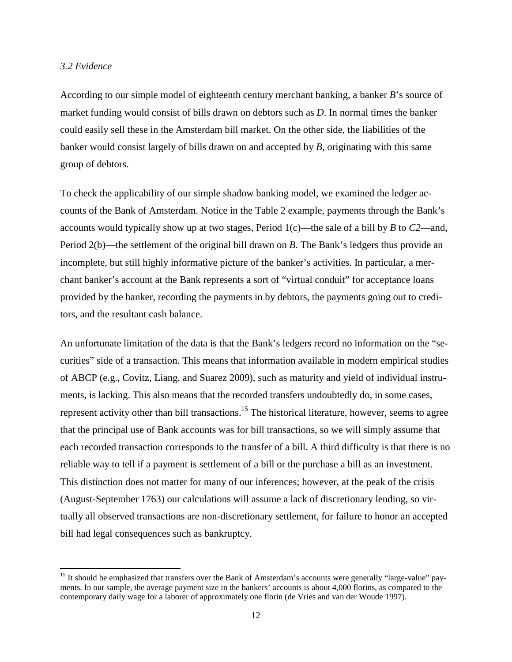## *3.2 Evidence*

1

According to our simple model of eighteenth century merchant banking, a banker *B*'s source of market funding would consist of bills drawn on debtors such as *D*. In normal times the banker could easily sell these in the Amsterdam bill market. On the other side, the liabilities of the banker would consist largely of bills drawn on and accepted by *B*, originating with this same group of debtors.

To check the applicability of our simple shadow banking model, we examined the ledger accounts of the Bank of Amsterdam. Notice in the Table 2 example, payments through the Bank's accounts would typically show up at two stages, Period 1(c)—the sale of a bill by *B* to *C2*—and, Period 2(b)—the settlement of the original bill drawn on *B*. The Bank's ledgers thus provide an incomplete, but still highly informative picture of the banker's activities. In particular, a merchant banker's account at the Bank represents a sort of "virtual conduit" for acceptance loans provided by the banker, recording the payments in by debtors, the payments going out to creditors, and the resultant cash balance.

An unfortunate limitation of the data is that the Bank's ledgers record no information on the "securities" side of a transaction. This means that information available in modern empirical studies of ABCP (e.g., Covitz, Liang, and Suarez 2009), such as maturity and yield of individual instruments, is lacking. This also means that the recorded transfers undoubtedly do, in some cases, represent activity other than bill transactions.<sup>15</sup> The historical literature, however, seems to agree that the principal use of Bank accounts was for bill transactions, so we will simply assume that each recorded transaction corresponds to the transfer of a bill. A third difficulty is that there is no reliable way to tell if a payment is settlement of a bill or the purchase a bill as an investment. This distinction does not matter for many of our inferences; however, at the peak of the crisis (August-September 1763) our calculations will assume a lack of discretionary lending, so virtually all observed transactions are non-discretionary settlement, for failure to honor an accepted bill had legal consequences such as bankruptcy.

<sup>&</sup>lt;sup>15</sup> It should be emphasized that transfers over the Bank of Amsterdam's accounts were generally "large-value" payments. In our sample, the average payment size in the bankers' accounts is about 4,000 florins, as compared to the contemporary daily wage for a laborer of approximately one florin (de Vries and van der Woude 1997).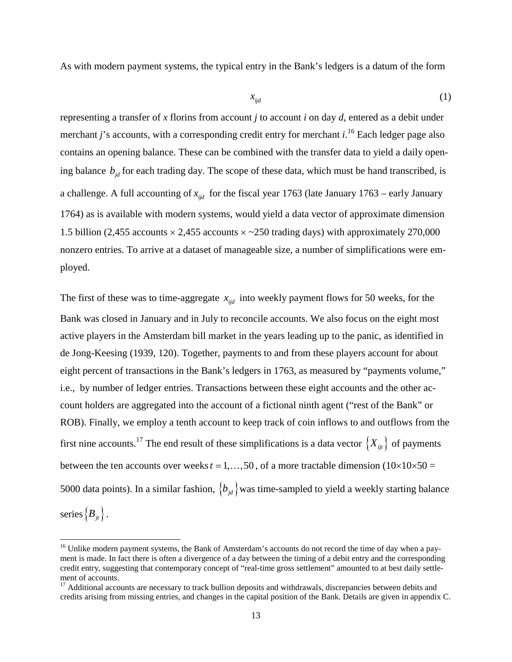As with modern payment systems, the typical entry in the Bank's ledgers is a datum of the form

$$
x_{ijd} \tag{1}
$$

representing a transfer of *x* florins from account *j* to account *i* on day *d*, entered as a debit under merchant *j*'s accounts, with a corresponding credit entry for merchant *i*. 16 Each ledger page also contains an opening balance. These can be combined with the transfer data to yield a daily opening balance  $b_{j,d}$  for each trading day. The scope of these data, which must be hand transcribed, is a challenge. A full accounting of  $x_{ijd}$  for the fiscal year 1763 (late January 1763 – early January 1764) as is available with modern systems, would yield a data vector of approximate dimension 1.5 billion (2,455 accounts  $\times$  2,455 accounts  $\times$  ~250 trading days) with approximately 270,000 nonzero entries. To arrive at a dataset of manageable size, a number of simplifications were employed.

The first of these was to time-aggregate  $x_{ijd}$  into weekly payment flows for 50 weeks, for the Bank was closed in January and in July to reconcile accounts. We also focus on the eight most active players in the Amsterdam bill market in the years leading up to the panic, as identified in de Jong-Keesing (1939, 120). Together, payments to and from these players account for about eight percent of transactions in the Bank's ledgers in 1763, as measured by "payments volume," i.e., by number of ledger entries. Transactions between these eight accounts and the other account holders are aggregated into the account of a fictional ninth agent ("rest of the Bank" or ROB). Finally, we employ a tenth account to keep track of coin inflows to and outflows from the first nine accounts.<sup>17</sup> The end result of these simplifications is a data vector  ${X_{ijt}}$  of payments between the ten accounts over weeks  $t = 1, \ldots, 50$ , of a more tractable dimension ( $10 \times 10 \times 50 = 1$ ) 5000 data points). In a similar fashion,  $\{b_{j,d}\}$  was time-sampled to yield a weekly starting balance series  ${B<sub>it</sub>}$ .

<sup>&</sup>lt;sup>16</sup> Unlike modern payment systems, the Bank of Amsterdam's accounts do not record the time of day when a payment is made. In fact there is often a divergence of a day between the timing of a debit entry and the corresponding credit entry, suggesting that contemporary concept of "real-time gross settlement" amounted to at best daily settlement of accounts.

 $17$  Additional accounts are necessary to track bullion deposits and withdrawals, discrepancies between debits and credits arising from missing entries, and changes in the capital position of the Bank. Details are given in appendix C.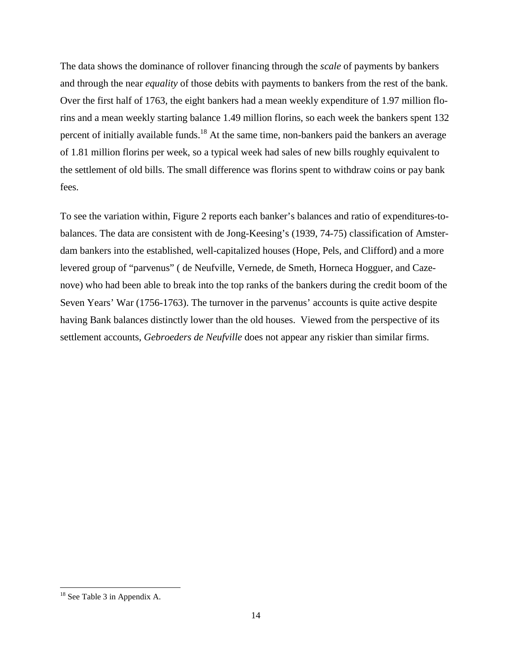The data shows the dominance of rollover financing through the *scale* of payments by bankers and through the near *equality* of those debits with payments to bankers from the rest of the bank. Over the first half of 1763, the eight bankers had a mean weekly expenditure of 1.97 million florins and a mean weekly starting balance 1.49 million florins, so each week the bankers spent 132 percent of initially available funds.<sup>18</sup> At the same time, non-bankers paid the bankers an average of 1.81 million florins per week, so a typical week had sales of new bills roughly equivalent to the settlement of old bills. The small difference was florins spent to withdraw coins or pay bank fees.

To see the variation within, Figure 2 reports each banker's balances and ratio of expenditures-tobalances. The data are consistent with de Jong-Keesing's (1939, 74-75) classification of Amsterdam bankers into the established, well-capitalized houses (Hope, Pels, and Clifford) and a more levered group of "parvenus" ( de Neufville, Vernede, de Smeth, Horneca Hogguer, and Cazenove) who had been able to break into the top ranks of the bankers during the credit boom of the Seven Years' War (1756-1763). The turnover in the parvenus' accounts is quite active despite having Bank balances distinctly lower than the old houses. Viewed from the perspective of its settlement accounts, *Gebroeders de Neufville* does not appear any riskier than similar firms.

 $\overline{a}$ 

<sup>&</sup>lt;sup>18</sup> See Table 3 in Appendix A.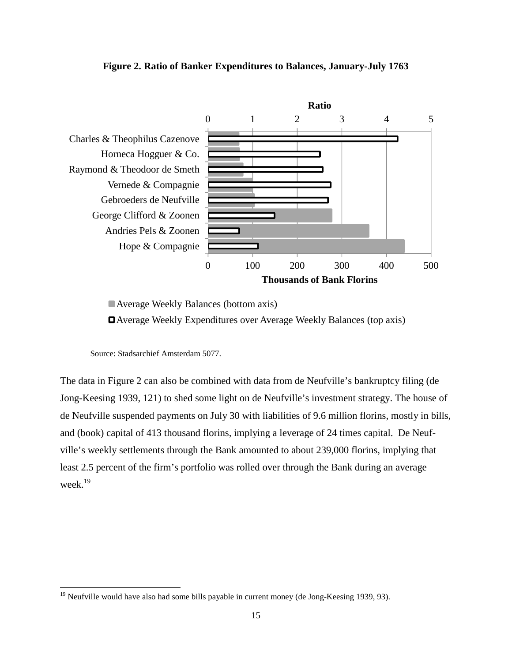

#### **Figure 2. Ratio of Banker Expenditures to Balances, January-July 1763**

Average Weekly Balances (bottom axis) Average Weekly Expenditures over Average Weekly Balances (top axis)

Source: Stadsarchief Amsterdam 5077.

 $\overline{a}$ 

The data in Figure 2 can also be combined with data from de Neufville's bankruptcy filing (de Jong-Keesing 1939, 121) to shed some light on de Neufville's investment strategy. The house of de Neufville suspended payments on July 30 with liabilities of 9.6 million florins, mostly in bills, and (book) capital of 413 thousand florins, implying a leverage of 24 times capital. De Neufville's weekly settlements through the Bank amounted to about 239,000 florins, implying that least 2.5 percent of the firm's portfolio was rolled over through the Bank during an average week.<sup>19</sup>

<sup>&</sup>lt;sup>19</sup> Neufville would have also had some bills payable in current money (de Jong-Keesing 1939, 93).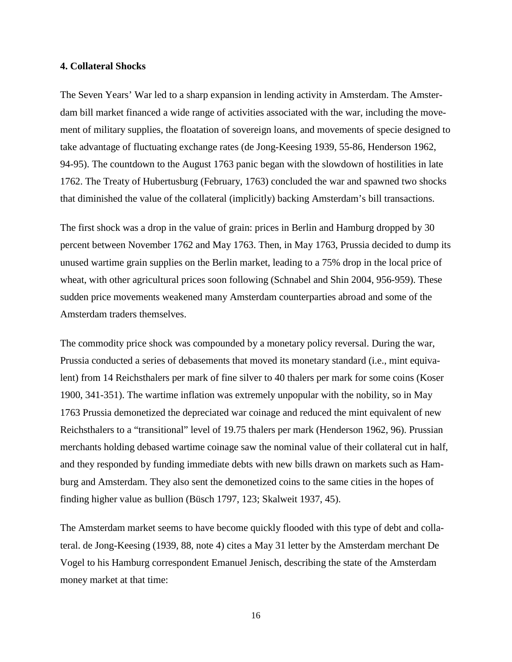#### **4. Collateral Shocks**

The Seven Years' War led to a sharp expansion in lending activity in Amsterdam. The Amsterdam bill market financed a wide range of activities associated with the war, including the movement of military supplies, the floatation of sovereign loans, and movements of specie designed to take advantage of fluctuating exchange rates (de Jong-Keesing 1939, 55-86, Henderson 1962, 94-95). The countdown to the August 1763 panic began with the slowdown of hostilities in late 1762. The Treaty of Hubertusburg (February, 1763) concluded the war and spawned two shocks that diminished the value of the collateral (implicitly) backing Amsterdam's bill transactions.

The first shock was a drop in the value of grain: prices in Berlin and Hamburg dropped by 30 percent between November 1762 and May 1763. Then, in May 1763, Prussia decided to dump its unused wartime grain supplies on the Berlin market, leading to a 75% drop in the local price of wheat, with other agricultural prices soon following (Schnabel and Shin 2004, 956-959). These sudden price movements weakened many Amsterdam counterparties abroad and some of the Amsterdam traders themselves.

The commodity price shock was compounded by a monetary policy reversal. During the war, Prussia conducted a series of debasements that moved its monetary standard (i.e., mint equivalent) from 14 Reichsthalers per mark of fine silver to 40 thalers per mark for some coins (Koser 1900, 341-351). The wartime inflation was extremely unpopular with the nobility, so in May 1763 Prussia demonetized the depreciated war coinage and reduced the mint equivalent of new Reichsthalers to a "transitional" level of 19.75 thalers per mark (Henderson 1962, 96). Prussian merchants holding debased wartime coinage saw the nominal value of their collateral cut in half, and they responded by funding immediate debts with new bills drawn on markets such as Hamburg and Amsterdam. They also sent the demonetized coins to the same cities in the hopes of finding higher value as bullion (Büsch 1797, 123; Skalweit 1937, 45).

The Amsterdam market seems to have become quickly flooded with this type of debt and collateral. de Jong-Keesing (1939, 88, note 4) cites a May 31 letter by the Amsterdam merchant De Vogel to his Hamburg correspondent Emanuel Jenisch, describing the state of the Amsterdam money market at that time: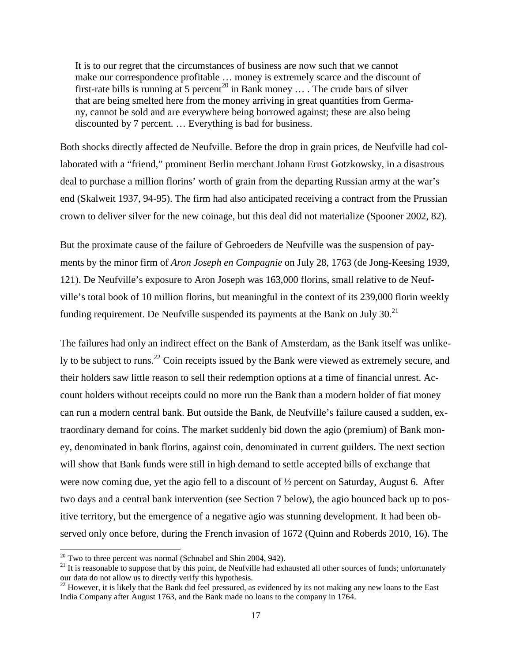It is to our regret that the circumstances of business are now such that we cannot make our correspondence profitable … money is extremely scarce and the discount of first-rate bills is running at 5 percent<sup>20</sup> in Bank money ... . The crude bars of silver that are being smelted here from the money arriving in great quantities from Germany, cannot be sold and are everywhere being borrowed against; these are also being discounted by 7 percent. … Everything is bad for business.

Both shocks directly affected de Neufville. Before the drop in grain prices, de Neufville had collaborated with a "friend," prominent Berlin merchant Johann Ernst Gotzkowsky, in a disastrous deal to purchase a million florins' worth of grain from the departing Russian army at the war's end (Skalweit 1937, 94-95). The firm had also anticipated receiving a contract from the Prussian crown to deliver silver for the new coinage, but this deal did not materialize (Spooner 2002, 82).

But the proximate cause of the failure of Gebroeders de Neufville was the suspension of payments by the minor firm of *Aron Joseph en Compagnie* on July 28, 1763 (de Jong-Keesing 1939, 121). De Neufville's exposure to Aron Joseph was 163,000 florins, small relative to de Neufville's total book of 10 million florins, but meaningful in the context of its 239,000 florin weekly funding requirement. De Neufville suspended its payments at the Bank on July  $30.^{21}$ 

The failures had only an indirect effect on the Bank of Amsterdam, as the Bank itself was unlikely to be subject to runs.<sup>22</sup> Coin receipts issued by the Bank were viewed as extremely secure, and their holders saw little reason to sell their redemption options at a time of financial unrest. Account holders without receipts could no more run the Bank than a modern holder of fiat money can run a modern central bank. But outside the Bank, de Neufville's failure caused a sudden, extraordinary demand for coins. The market suddenly bid down the agio (premium) of Bank money, denominated in bank florins, against coin, denominated in current guilders. The next section will show that Bank funds were still in high demand to settle accepted bills of exchange that were now coming due, yet the agio fell to a discount of ½ percent on Saturday, August 6. After two days and a central bank intervention (see Section 7 below), the agio bounced back up to positive territory, but the emergence of a negative agio was stunning development. It had been observed only once before, during the French invasion of 1672 (Quinn and Roberds 2010, 16). The

**.** 

 $^{20}$  Two to three percent was normal (Schnabel and Shin 2004, 942).

 $21$  It is reasonable to suppose that by this point, de Neufville had exhausted all other sources of funds; unfortunately our data do not allow us to directly verify this hypothesis.

 $^{22}$  However, it is likely that the Bank did feel pressured, as evidenced by its not making any new loans to the East India Company after August 1763, and the Bank made no loans to the company in 1764.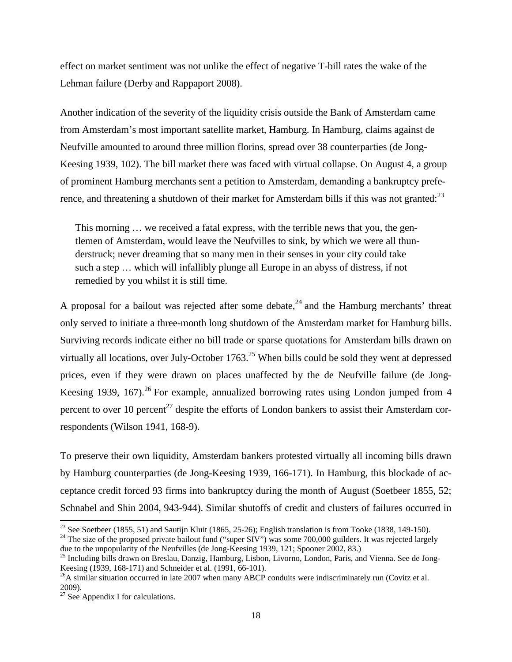effect on market sentiment was not unlike the effect of negative T-bill rates the wake of the Lehman failure (Derby and Rappaport 2008).

Another indication of the severity of the liquidity crisis outside the Bank of Amsterdam came from Amsterdam's most important satellite market, Hamburg. In Hamburg, claims against de Neufville amounted to around three million florins, spread over 38 counterparties (de Jong-Keesing 1939, 102). The bill market there was faced with virtual collapse. On August 4, a group of prominent Hamburg merchants sent a petition to Amsterdam, demanding a bankruptcy preference, and threatening a shutdown of their market for Amsterdam bills if this was not granted:<sup>23</sup>

This morning … we received a fatal express, with the terrible news that you, the gentlemen of Amsterdam, would leave the Neufvilles to sink, by which we were all thunderstruck; never dreaming that so many men in their senses in your city could take such a step … which will infallibly plunge all Europe in an abyss of distress, if not remedied by you whilst it is still time.

A proposal for a bailout was rejected after some debate,  $24$  and the Hamburg merchants' threat only served to initiate a three-month long shutdown of the Amsterdam market for Hamburg bills. Surviving records indicate either no bill trade or sparse quotations for Amsterdam bills drawn on virtually all locations, over July-October  $1763$ <sup>25</sup> When bills could be sold they went at depressed prices, even if they were drawn on places unaffected by the de Neufville failure (de Jong-Keesing 1939, 167).<sup>26</sup> For example, annualized borrowing rates using London jumped from 4 percent to over 10 percent<sup>27</sup> despite the efforts of London bankers to assist their Amsterdam correspondents (Wilson 1941, 168-9).

To preserve their own liquidity, Amsterdam bankers protested virtually all incoming bills drawn by Hamburg counterparties (de Jong-Keesing 1939, 166-171). In Hamburg, this blockade of acceptance credit forced 93 firms into bankruptcy during the month of August (Soetbeer 1855, 52; Schnabel and Shin 2004, 943-944). Similar shutoffs of credit and clusters of failures occurred in

**.** 

<sup>&</sup>lt;sup>23</sup> See Soetbeer (1855, 51) and Sautijn Kluit (1865, 25-26); English translation is from Tooke (1838, 149-150).

<sup>&</sup>lt;sup>24</sup> The size of the proposed private bailout fund ("super SIV") was some 700,000 guilders. It was rejected largely due to the unpopularity of the Neufvilles (de Jong-Keesing 1939, 121; Spooner 2002, 83.)

<sup>&</sup>lt;sup>25</sup> Including bills drawn on Breslau, Danzig, Hamburg, Lisbon, Livorno, London, Paris, and Vienna. See de Jong-Keesing (1939, 168-171) and Schneider et al. (1991, 66-101).

 $^{26}$ A similar situation occurred in late 2007 when many ABCP conduits were indiscriminately run (Covitz et al. 2009).

 $27$  See Appendix I for calculations.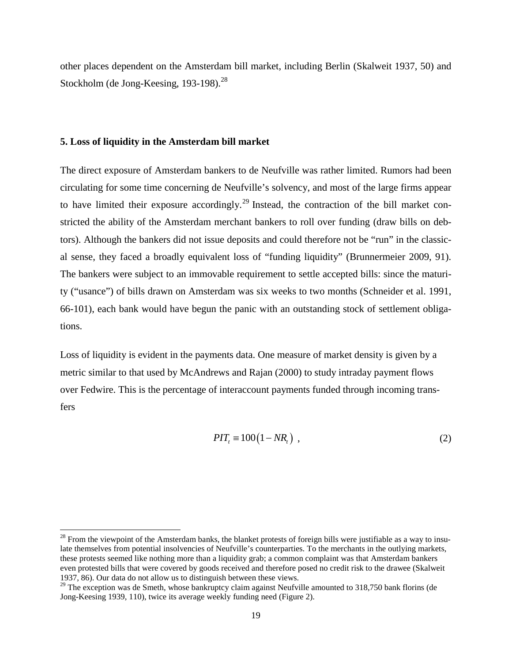other places dependent on the Amsterdam bill market, including Berlin (Skalweit 1937, 50) and Stockholm (de Jong-Keesing, 193-198).<sup>28</sup>

#### **5. Loss of liquidity in the Amsterdam bill market**

 $\overline{a}$ 

The direct exposure of Amsterdam bankers to de Neufville was rather limited. Rumors had been circulating for some time concerning de Neufville's solvency, and most of the large firms appear to have limited their exposure accordingly.<sup>29</sup> Instead, the contraction of the bill market constricted the ability of the Amsterdam merchant bankers to roll over funding (draw bills on debtors). Although the bankers did not issue deposits and could therefore not be "run" in the classical sense, they faced a broadly equivalent loss of "funding liquidity" (Brunnermeier 2009, 91). The bankers were subject to an immovable requirement to settle accepted bills: since the maturity ("usance") of bills drawn on Amsterdam was six weeks to two months (Schneider et al. 1991, 66-101), each bank would have begun the panic with an outstanding stock of settlement obligations.

Loss of liquidity is evident in the payments data. One measure of market density is given by a metric similar to that used by McAndrews and Rajan (2000) to study intraday payment flows over Fedwire. This is the percentage of interaccount payments funded through incoming transfers

$$
PIT_t \equiv 100(1 - NR_t) \tag{2}
$$

 $^{28}$  From the viewpoint of the Amsterdam banks, the blanket protests of foreign bills were justifiable as a way to insulate themselves from potential insolvencies of Neufville's counterparties. To the merchants in the outlying markets, these protests seemed like nothing more than a liquidity grab; a common complaint was that Amsterdam bankers even protested bills that were covered by goods received and therefore posed no credit risk to the drawee (Skalweit 1937, 86). Our data do not allow us to distinguish between these views.

<sup>&</sup>lt;sup>29</sup> The exception was de Smeth, whose bankruptcy claim against Neufville amounted to 318,750 bank florins (de Jong-Keesing 1939, 110), twice its average weekly funding need (Figure 2).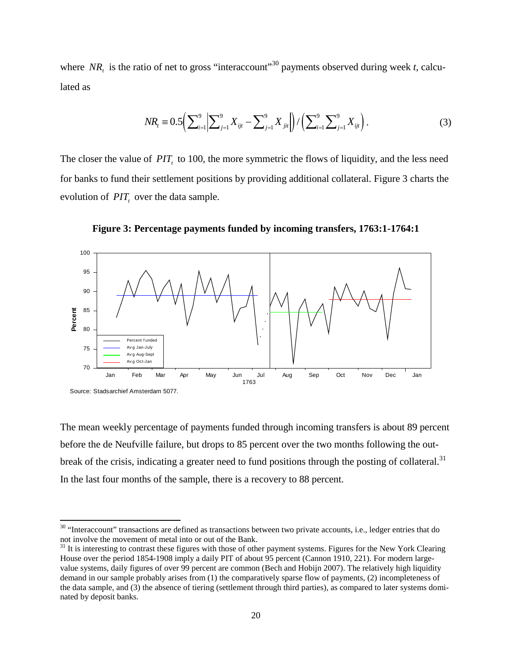where  $NR<sub>t</sub>$  is the ratio of net to gross "interaccount"<sup>30</sup> payments observed during week *t*, calculated as

$$
NR_{t} = 0.5 \left( \sum_{i=1}^{9} \left| \sum_{j=1}^{9} X_{ijt} - \sum_{j=1}^{9} X_{jit} \right| \right) / \left( \sum_{i=1}^{9} \sum_{j=1}^{9} X_{ijt} \right). \tag{3}
$$

The closer the value of *PIT*, to 100, the more symmetric the flows of liquidity, and the less need for banks to fund their settlement positions by providing additional collateral. Figure 3 charts the evolution of *PIT*, over the data sample.





**.** 

The mean weekly percentage of payments funded through incoming transfers is about 89 percent before the de Neufville failure, but drops to 85 percent over the two months following the outbreak of the crisis, indicating a greater need to fund positions through the posting of collateral.<sup>31</sup> In the last four months of the sample, there is a recovery to 88 percent.

 $30$  "Interaccount" transactions are defined as transactions between two private accounts, i.e., ledger entries that do not involve the movement of metal into or out of the Bank.

 $31$  It is interesting to contrast these figures with those of other payment systems. Figures for the New York Clearing House over the period 1854-1908 imply a daily PIT of about 95 percent (Cannon 1910, 221). For modern largevalue systems, daily figures of over 99 percent are common (Bech and Hobijn 2007). The relatively high liquidity demand in our sample probably arises from (1) the comparatively sparse flow of payments, (2) incompleteness of the data sample, and (3) the absence of tiering (settlement through third parties), as compared to later systems dominated by deposit banks.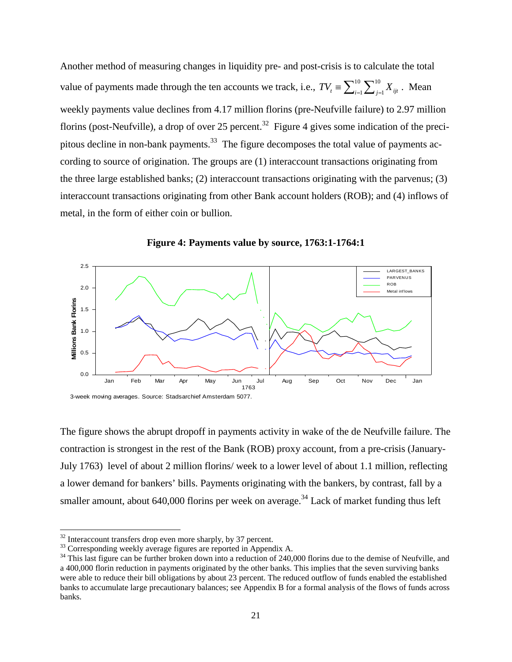Another method of measuring changes in liquidity pre- and post-crisis is to calculate the total value of payments made through the ten accounts we track, i.e.,  $TV_t \equiv \sum_{i=1}^{10} \sum_{j=1}^{10} X_{ijt}$ . Mean weekly payments value declines from 4.17 million florins (pre-Neufville failure) to 2.97 million florins (post-Neufville), a drop of over 25 percent.<sup>32</sup> Figure 4 gives some indication of the precipitous decline in non-bank payments.<sup>33</sup> The figure decomposes the total value of payments according to source of origination. The groups are (1) interaccount transactions originating from the three large established banks; (2) interaccount transactions originating with the parvenus; (3) interaccount transactions originating from other Bank account holders (ROB); and (4) inflows of metal, in the form of either coin or bullion.



**Figure 4: Payments value by source, 1763:1-1764:1** 

The figure shows the abrupt dropoff in payments activity in wake of the de Neufville failure. The contraction is strongest in the rest of the Bank (ROB) proxy account, from a pre-crisis (January-July 1763) level of about 2 million florins/ week to a lower level of about 1.1 million, reflecting a lower demand for bankers' bills. Payments originating with the bankers, by contrast, fall by a smaller amount, about  $640,000$  florins per week on average.<sup>34</sup> Lack of market funding thus left

 $\overline{a}$ 

 $32$  Interaccount transfers drop even more sharply, by 37 percent.

<sup>&</sup>lt;sup>33</sup> Corresponding weekly average figures are reported in Appendix A.

<sup>&</sup>lt;sup>34</sup> This last figure can be further broken down into a reduction of 240,000 florins due to the demise of Neufville, and a 400,000 florin reduction in payments originated by the other banks. This implies that the seven surviving banks were able to reduce their bill obligations by about 23 percent. The reduced outflow of funds enabled the established banks to accumulate large precautionary balances; see Appendix B for a formal analysis of the flows of funds across banks.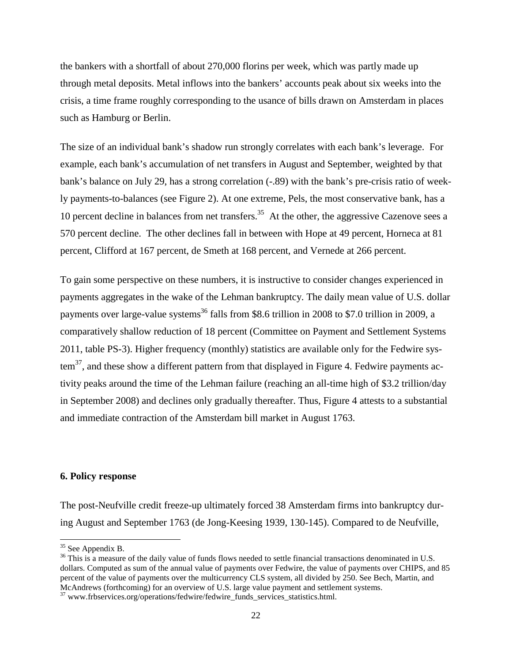the bankers with a shortfall of about 270,000 florins per week, which was partly made up through metal deposits. Metal inflows into the bankers' accounts peak about six weeks into the crisis, a time frame roughly corresponding to the usance of bills drawn on Amsterdam in places such as Hamburg or Berlin.

The size of an individual bank's shadow run strongly correlates with each bank's leverage. For example, each bank's accumulation of net transfers in August and September, weighted by that bank's balance on July 29, has a strong correlation (-.89) with the bank's pre-crisis ratio of weekly payments-to-balances (see Figure 2). At one extreme, Pels, the most conservative bank, has a 10 percent decline in balances from net transfers.<sup>35</sup> At the other, the aggressive Cazenove sees a 570 percent decline. The other declines fall in between with Hope at 49 percent, Horneca at 81 percent, Clifford at 167 percent, de Smeth at 168 percent, and Vernede at 266 percent.

To gain some perspective on these numbers, it is instructive to consider changes experienced in payments aggregates in the wake of the Lehman bankruptcy. The daily mean value of U.S. dollar payments over large-value systems<sup>36</sup> falls from \$8.6 trillion in 2008 to \$7.0 trillion in 2009, a comparatively shallow reduction of 18 percent (Committee on Payment and Settlement Systems 2011, table PS-3). Higher frequency (monthly) statistics are available only for the Fedwire sys $tem<sup>37</sup>$ , and these show a different pattern from that displayed in Figure 4. Fedwire payments activity peaks around the time of the Lehman failure (reaching an all-time high of \$3.2 trillion/day in September 2008) and declines only gradually thereafter. Thus, Figure 4 attests to a substantial and immediate contraction of the Amsterdam bill market in August 1763.

#### **6. Policy response**

The post-Neufville credit freeze-up ultimately forced 38 Amsterdam firms into bankruptcy during August and September 1763 (de Jong-Keesing 1939, 130-145). Compared to de Neufville,

<sup>&</sup>lt;sup>35</sup> See Appendix B.

<sup>&</sup>lt;sup>36</sup> This is a measure of the daily value of funds flows needed to settle financial transactions denominated in U.S. dollars. Computed as sum of the annual value of payments over Fedwire, the value of payments over CHIPS, and 85 percent of the value of payments over the multicurrency CLS system, all divided by 250. See Bech, Martin, and McAndrews (forthcoming) for an overview of U.S. large value payment and settlement systems.

<sup>&</sup>lt;sup>37</sup> www.frbservices.org/operations/fedwire/fedwire\_funds\_services\_statistics.html.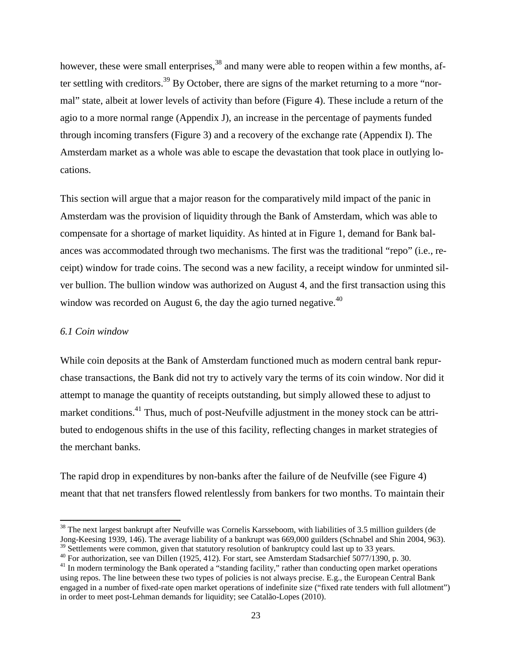however, these were small enterprises,<sup>38</sup> and many were able to reopen within a few months, after settling with creditors.<sup>39</sup> By October, there are signs of the market returning to a more "normal" state, albeit at lower levels of activity than before (Figure 4). These include a return of the agio to a more normal range (Appendix J), an increase in the percentage of payments funded through incoming transfers (Figure 3) and a recovery of the exchange rate (Appendix I). The Amsterdam market as a whole was able to escape the devastation that took place in outlying locations.

This section will argue that a major reason for the comparatively mild impact of the panic in Amsterdam was the provision of liquidity through the Bank of Amsterdam, which was able to compensate for a shortage of market liquidity. As hinted at in Figure 1, demand for Bank balances was accommodated through two mechanisms. The first was the traditional "repo" (i.e., receipt) window for trade coins. The second was a new facility, a receipt window for unminted silver bullion. The bullion window was authorized on August 4, and the first transaction using this window was recorded on August 6, the day the agio turned negative. $40$ 

## *6.1 Coin window*

**.** 

While coin deposits at the Bank of Amsterdam functioned much as modern central bank repurchase transactions, the Bank did not try to actively vary the terms of its coin window. Nor did it attempt to manage the quantity of receipts outstanding, but simply allowed these to adjust to market conditions.<sup>41</sup> Thus, much of post-Neufville adjustment in the money stock can be attributed to endogenous shifts in the use of this facility, reflecting changes in market strategies of the merchant banks.

The rapid drop in expenditures by non-banks after the failure of de Neufville (see Figure 4) meant that that net transfers flowed relentlessly from bankers for two months. To maintain their

 $38$  The next largest bankrupt after Neufville was Cornelis Karsseboom, with liabilities of 3.5 million guilders (de Jong-Keesing 1939, 146). The average liability of a bankrupt was 669,000 guilders (Schnabel and Shin 2004, 963).  $39$  Settlements were common, given that statutory resolution of bankruptcy could last up to 33 years.

<sup>40</sup> For authorization, see van Dillen (1925, 412). For start, see Amsterdam Stadsarchief 5077/1390, p. 30.

 $41$  In modern terminology the Bank operated a "standing facility," rather than conducting open market operations using repos. The line between these two types of policies is not always precise. E.g., the European Central Bank engaged in a number of fixed-rate open market operations of indefinite size ("fixed rate tenders with full allotment") in order to meet post-Lehman demands for liquidity; see Catalão-Lopes (2010).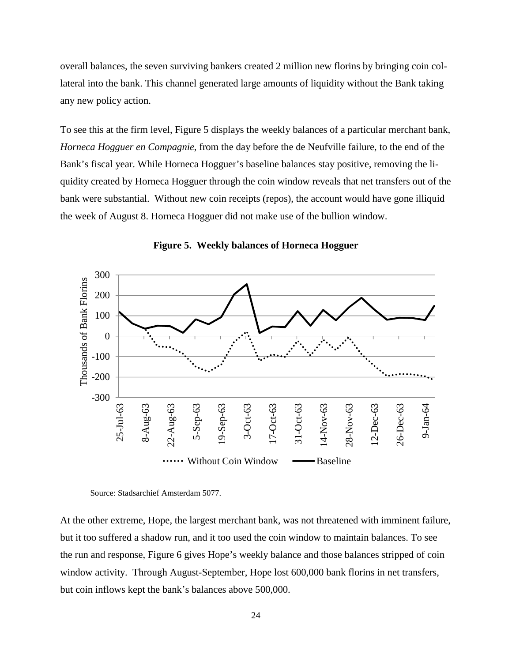overall balances, the seven surviving bankers created 2 million new florins by bringing coin collateral into the bank. This channel generated large amounts of liquidity without the Bank taking any new policy action.

To see this at the firm level, Figure 5 displays the weekly balances of a particular merchant bank, *Horneca Hogguer en Compagnie*, from the day before the de Neufville failure, to the end of the Bank's fiscal year. While Horneca Hogguer's baseline balances stay positive, removing the liquidity created by Horneca Hogguer through the coin window reveals that net transfers out of the bank were substantial. Without new coin receipts (repos), the account would have gone illiquid the week of August 8. Horneca Hogguer did not make use of the bullion window.



**Figure 5. Weekly balances of Horneca Hogguer** 

At the other extreme, Hope, the largest merchant bank, was not threatened with imminent failure, but it too suffered a shadow run, and it too used the coin window to maintain balances. To see the run and response, Figure 6 gives Hope's weekly balance and those balances stripped of coin window activity. Through August-September, Hope lost 600,000 bank florins in net transfers, but coin inflows kept the bank's balances above 500,000.

Source: Stadsarchief Amsterdam 5077.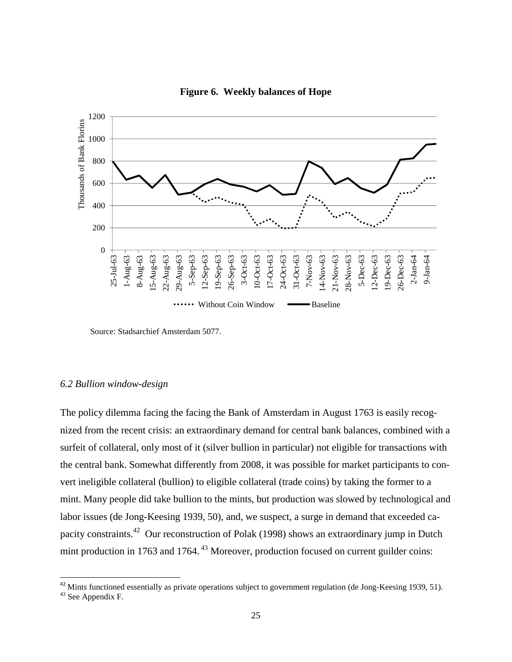

**Figure 6. Weekly balances of Hope** 

Source: Stadsarchief Amsterdam 5077.

### *6.2 Bullion window-design*

The policy dilemma facing the facing the Bank of Amsterdam in August 1763 is easily recognized from the recent crisis: an extraordinary demand for central bank balances, combined with a surfeit of collateral, only most of it (silver bullion in particular) not eligible for transactions with the central bank. Somewhat differently from 2008, it was possible for market participants to convert ineligible collateral (bullion) to eligible collateral (trade coins) by taking the former to a mint. Many people did take bullion to the mints, but production was slowed by technological and labor issues (de Jong-Keesing 1939, 50), and, we suspect, a surge in demand that exceeded capacity constraints.42 Our reconstruction of Polak (1998) shows an extraordinary jump in Dutch mint production in 1763 and 1764.<sup>43</sup> Moreover, production focused on current guilder coins:

**.** 

 $42$  Mints functioned essentially as private operations subject to government regulation (de Jong-Keesing 1939, 51).

<sup>43</sup> See Appendix F.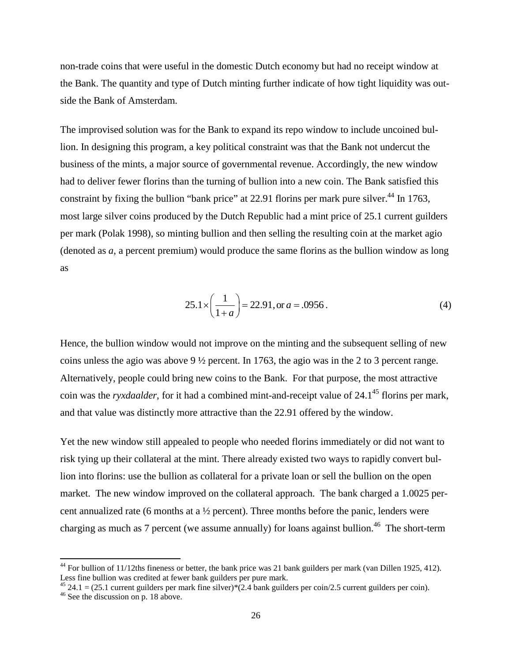non-trade coins that were useful in the domestic Dutch economy but had no receipt window at the Bank. The quantity and type of Dutch minting further indicate of how tight liquidity was outside the Bank of Amsterdam.

The improvised solution was for the Bank to expand its repo window to include uncoined bullion. In designing this program, a key political constraint was that the Bank not undercut the business of the mints, a major source of governmental revenue. Accordingly, the new window had to deliver fewer florins than the turning of bullion into a new coin. The Bank satisfied this constraint by fixing the bullion "bank price" at 22.91 florins per mark pure silver.<sup>44</sup> In 1763, most large silver coins produced by the Dutch Republic had a mint price of 25.1 current guilders per mark (Polak 1998), so minting bullion and then selling the resulting coin at the market agio (denoted as *a*, a percent premium) would produce the same florins as the bullion window as long as

$$
25.1 \times \left(\frac{1}{1+a}\right) = 22.91, \text{ or } a = .0956. \tag{4}
$$

Hence, the bullion window would not improve on the minting and the subsequent selling of new coins unless the agio was above 9 ½ percent. In 1763, the agio was in the 2 to 3 percent range. Alternatively, people could bring new coins to the Bank. For that purpose, the most attractive coin was the *ryxdaalder*, for it had a combined mint-and-receipt value of 24.1<sup>45</sup> florins per mark, and that value was distinctly more attractive than the 22.91 offered by the window.

Yet the new window still appealed to people who needed florins immediately or did not want to risk tying up their collateral at the mint. There already existed two ways to rapidly convert bullion into florins: use the bullion as collateral for a private loan or sell the bullion on the open market. The new window improved on the collateral approach. The bank charged a 1.0025 percent annualized rate (6 months at a ½ percent). Three months before the panic, lenders were charging as much as 7 percent (we assume annually) for loans against bullion.<sup>46</sup> The short-term

**.** 

 $44$  For bullion of 11/12ths fineness or better, the bank price was 21 bank guilders per mark (van Dillen 1925, 412). Less fine bullion was credited at fewer bank guilders per pure mark.

<sup>&</sup>lt;sup>45</sup> 24.1 = (25.1 current guilders per mark fine silver)\*(2.4 bank guilders per coin/2.5 current guilders per coin). <sup>46</sup> See the discussion on p. 18 above.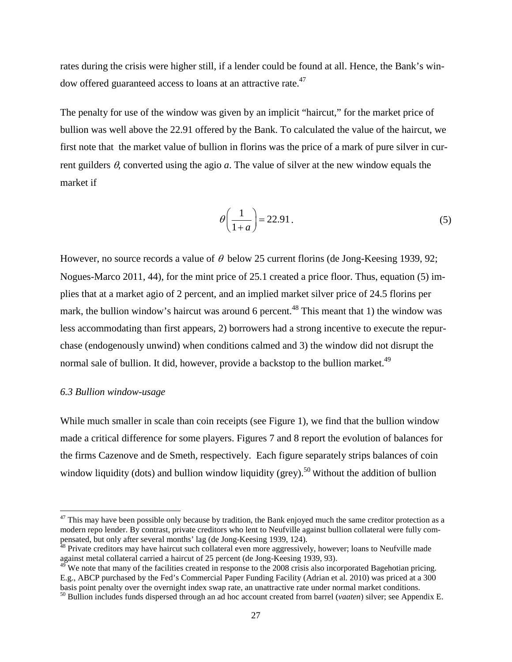rates during the crisis were higher still, if a lender could be found at all. Hence, the Bank's window offered guaranteed access to loans at an attractive rate.<sup>47</sup>

The penalty for use of the window was given by an implicit "haircut," for the market price of bullion was well above the 22.91 offered by the Bank. To calculated the value of the haircut, we first note that the market value of bullion in florins was the price of a mark of pure silver in current guilders  $\theta$ , converted using the agio *a*. The value of silver at the new window equals the market if

$$
\theta\left(\frac{1}{1+a}\right) = 22.91\,. \tag{5}
$$

However, no source records a value of  $\theta$  below 25 current florins (de Jong-Keesing 1939, 92; Nogues-Marco 2011, 44), for the mint price of 25.1 created a price floor. Thus, equation (5) implies that at a market agio of 2 percent, and an implied market silver price of 24.5 florins per mark, the bullion window's haircut was around 6 percent.<sup>48</sup> This meant that 1) the window was less accommodating than first appears, 2) borrowers had a strong incentive to execute the repurchase (endogenously unwind) when conditions calmed and 3) the window did not disrupt the normal sale of bullion. It did, however, provide a backstop to the bullion market.<sup>49</sup>

#### *6.3 Bullion window-usage*

1

While much smaller in scale than coin receipts (see Figure 1), we find that the bullion window made a critical difference for some players. Figures 7 and 8 report the evolution of balances for the firms Cazenove and de Smeth, respectively. Each figure separately strips balances of coin window liquidity (dots) and bullion window liquidity (grey).<sup>50</sup> Without the addition of bullion

 $47$  This may have been possible only because by tradition, the Bank enjoyed much the same creditor protection as a modern repo lender. By contrast, private creditors who lent to Neufville against bullion collateral were fully compensated, but only after several months' lag (de Jong-Keesing 1939, 124).

<sup>&</sup>lt;sup>48</sup> Private creditors may have haircut such collateral even more aggressively, however; loans to Neufville made against metal collateral carried a haircut of 25 percent (de Jong-Keesing 1939, 93).

<sup>&</sup>lt;sup>49</sup> We note that many of the facilities created in response to the 2008 crisis also incorporated Bagehotian pricing. E.g., ABCP purchased by the Fed's Commercial Paper Funding Facility (Adrian et al. 2010) was priced at a 300 basis point penalty over the overnight index swap rate, an unattractive rate under normal market conditions.

<sup>50</sup> Bullion includes funds dispersed through an ad hoc account created from barrel (*vaaten*) silver; see Appendix E.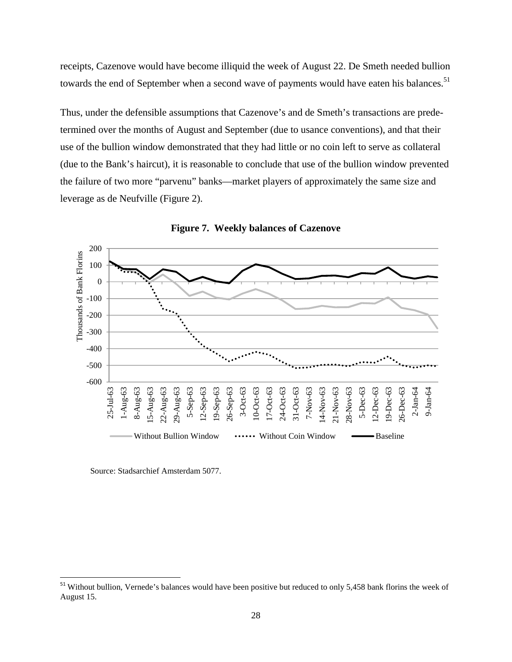receipts, Cazenove would have become illiquid the week of August 22. De Smeth needed bullion towards the end of September when a second wave of payments would have eaten his balances.<sup>51</sup>

Thus, under the defensible assumptions that Cazenove's and de Smeth's transactions are predetermined over the months of August and September (due to usance conventions), and that their use of the bullion window demonstrated that they had little or no coin left to serve as collateral (due to the Bank's haircut), it is reasonable to conclude that use of the bullion window prevented the failure of two more "parvenu" banks—market players of approximately the same size and leverage as de Neufville (Figure 2).





Source: Stadsarchief Amsterdam 5077.

**.** 

<sup>&</sup>lt;sup>51</sup> Without bullion, Vernede's balances would have been positive but reduced to only 5,458 bank florins the week of August 15.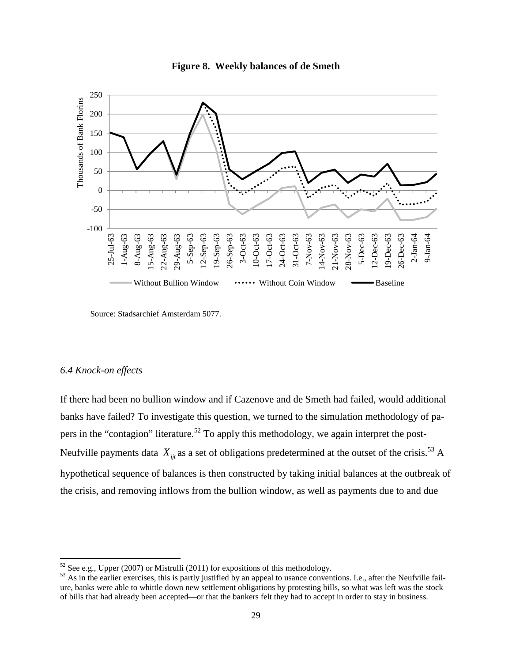

**Figure 8. Weekly balances of de Smeth** 

#### *6.4 Knock-on effects*

**.** 

If there had been no bullion window and if Cazenove and de Smeth had failed, would additional banks have failed? To investigate this question, we turned to the simulation methodology of papers in the "contagion" literature.<sup>52</sup> To apply this methodology, we again interpret the post-Neufville payments data  $X_{ij}$  as a set of obligations predetermined at the outset of the crisis.<sup>53</sup> A hypothetical sequence of balances is then constructed by taking initial balances at the outbreak of the crisis, and removing inflows from the bullion window, as well as payments due to and due

Source: Stadsarchief Amsterdam 5077.

 $52$  See e.g., Upper (2007) or Mistrulli (2011) for expositions of this methodology.

 $53$  As in the earlier exercises, this is partly justified by an appeal to usance conventions. I.e., after the Neufville failure, banks were able to whittle down new settlement obligations by protesting bills, so what was left was the stock of bills that had already been accepted—or that the bankers felt they had to accept in order to stay in business.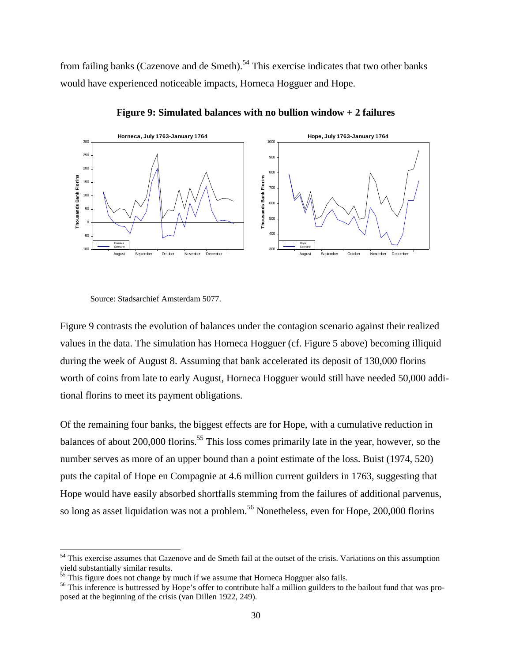from failing banks (Cazenove and de Smeth).<sup>54</sup> This exercise indicates that two other banks would have experienced noticeable impacts, Horneca Hogguer and Hope.



**Figure 9: Simulated balances with no bullion window + 2 failures** 

**.** 

Figure 9 contrasts the evolution of balances under the contagion scenario against their realized values in the data. The simulation has Horneca Hogguer (cf. Figure 5 above) becoming illiquid during the week of August 8. Assuming that bank accelerated its deposit of 130,000 florins worth of coins from late to early August, Horneca Hogguer would still have needed 50,000 additional florins to meet its payment obligations.

Of the remaining four banks, the biggest effects are for Hope, with a cumulative reduction in balances of about 200,000 florins.<sup>55</sup> This loss comes primarily late in the year, however, so the number serves as more of an upper bound than a point estimate of the loss. Buist (1974, 520) puts the capital of Hope en Compagnie at 4.6 million current guilders in 1763, suggesting that Hope would have easily absorbed shortfalls stemming from the failures of additional parvenus, so long as asset liquidation was not a problem.<sup>56</sup> Nonetheless, even for Hope, 200,000 florins

Source: Stadsarchief Amsterdam 5077.

<sup>&</sup>lt;sup>54</sup> This exercise assumes that Cazenove and de Smeth fail at the outset of the crisis. Variations on this assumption yield substantially similar results.

<sup>&</sup>lt;sup>55</sup> This figure does not change by much if we assume that Horneca Hogguer also fails.

<sup>&</sup>lt;sup>56</sup> This inference is buttressed by Hope's offer to contribute half a million guilders to the bailout fund that was proposed at the beginning of the crisis (van Dillen 1922, 249).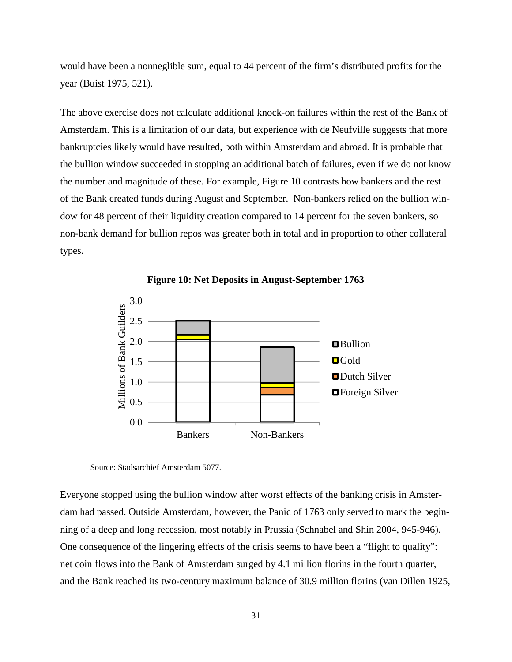would have been a nonneglible sum, equal to 44 percent of the firm's distributed profits for the year (Buist 1975, 521).

The above exercise does not calculate additional knock-on failures within the rest of the Bank of Amsterdam. This is a limitation of our data, but experience with de Neufville suggests that more bankruptcies likely would have resulted, both within Amsterdam and abroad. It is probable that the bullion window succeeded in stopping an additional batch of failures, even if we do not know the number and magnitude of these. For example, Figure 10 contrasts how bankers and the rest of the Bank created funds during August and September. Non-bankers relied on the bullion window for 48 percent of their liquidity creation compared to 14 percent for the seven bankers, so non-bank demand for bullion repos was greater both in total and in proportion to other collateral types.



**Figure 10: Net Deposits in August-September 1763**

Source: Stadsarchief Amsterdam 5077.

Everyone stopped using the bullion window after worst effects of the banking crisis in Amsterdam had passed. Outside Amsterdam, however, the Panic of 1763 only served to mark the beginning of a deep and long recession, most notably in Prussia (Schnabel and Shin 2004, 945-946). One consequence of the lingering effects of the crisis seems to have been a "flight to quality": net coin flows into the Bank of Amsterdam surged by 4.1 million florins in the fourth quarter, and the Bank reached its two-century maximum balance of 30.9 million florins (van Dillen 1925,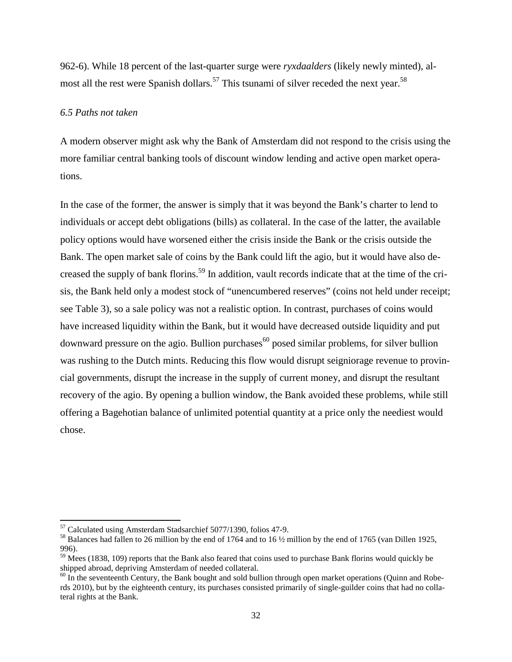962-6). While 18 percent of the last-quarter surge were *ryxdaalders* (likely newly minted), almost all the rest were Spanish dollars.<sup>57</sup> This tsunami of silver receded the next year.<sup>58</sup>

### *6.5 Paths not taken*

A modern observer might ask why the Bank of Amsterdam did not respond to the crisis using the more familiar central banking tools of discount window lending and active open market operations.

In the case of the former, the answer is simply that it was beyond the Bank's charter to lend to individuals or accept debt obligations (bills) as collateral. In the case of the latter, the available policy options would have worsened either the crisis inside the Bank or the crisis outside the Bank. The open market sale of coins by the Bank could lift the agio, but it would have also decreased the supply of bank florins.59 In addition, vault records indicate that at the time of the crisis, the Bank held only a modest stock of "unencumbered reserves" (coins not held under receipt; see Table 3), so a sale policy was not a realistic option. In contrast, purchases of coins would have increased liquidity within the Bank, but it would have decreased outside liquidity and put downward pressure on the agio. Bullion purchases<sup>60</sup> posed similar problems, for silver bullion was rushing to the Dutch mints. Reducing this flow would disrupt seigniorage revenue to provincial governments, disrupt the increase in the supply of current money, and disrupt the resultant recovery of the agio. By opening a bullion window, the Bank avoided these problems, while still offering a Bagehotian balance of unlimited potential quantity at a price only the neediest would chose.

**.** 

 $57$  Calculated using Amsterdam Stadsarchief 5077/1390, folios 47-9.

<sup>&</sup>lt;sup>58</sup> Balances had fallen to 26 million by the end of 1764 and to 16  $\frac{1}{2}$  million by the end of 1765 (van Dillen 1925, 996).

 $59$  Mees (1838, 109) reports that the Bank also feared that coins used to purchase Bank florins would quickly be shipped abroad, depriving Amsterdam of needed collateral.

 $60$  In the seventeenth Century, the Bank bought and sold bullion through open market operations (Quinn and Roberds 2010), but by the eighteenth century, its purchases consisted primarily of single-guilder coins that had no collateral rights at the Bank.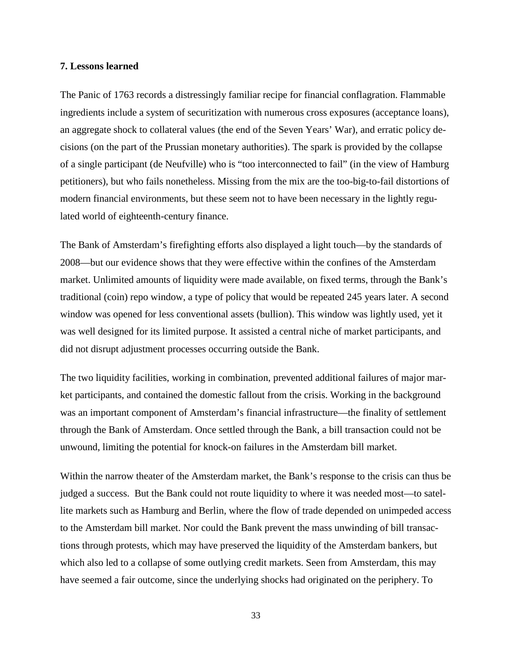#### **7. Lessons learned**

The Panic of 1763 records a distressingly familiar recipe for financial conflagration. Flammable ingredients include a system of securitization with numerous cross exposures (acceptance loans), an aggregate shock to collateral values (the end of the Seven Years' War), and erratic policy decisions (on the part of the Prussian monetary authorities). The spark is provided by the collapse of a single participant (de Neufville) who is "too interconnected to fail" (in the view of Hamburg petitioners), but who fails nonetheless. Missing from the mix are the too-big-to-fail distortions of modern financial environments, but these seem not to have been necessary in the lightly regulated world of eighteenth-century finance.

The Bank of Amsterdam's firefighting efforts also displayed a light touch—by the standards of 2008—but our evidence shows that they were effective within the confines of the Amsterdam market. Unlimited amounts of liquidity were made available, on fixed terms, through the Bank's traditional (coin) repo window, a type of policy that would be repeated 245 years later. A second window was opened for less conventional assets (bullion). This window was lightly used, yet it was well designed for its limited purpose. It assisted a central niche of market participants, and did not disrupt adjustment processes occurring outside the Bank.

The two liquidity facilities, working in combination, prevented additional failures of major market participants, and contained the domestic fallout from the crisis. Working in the background was an important component of Amsterdam's financial infrastructure—the finality of settlement through the Bank of Amsterdam. Once settled through the Bank, a bill transaction could not be unwound, limiting the potential for knock-on failures in the Amsterdam bill market.

Within the narrow theater of the Amsterdam market, the Bank's response to the crisis can thus be judged a success. But the Bank could not route liquidity to where it was needed most—to satellite markets such as Hamburg and Berlin, where the flow of trade depended on unimpeded access to the Amsterdam bill market. Nor could the Bank prevent the mass unwinding of bill transactions through protests, which may have preserved the liquidity of the Amsterdam bankers, but which also led to a collapse of some outlying credit markets. Seen from Amsterdam, this may have seemed a fair outcome, since the underlying shocks had originated on the periphery. To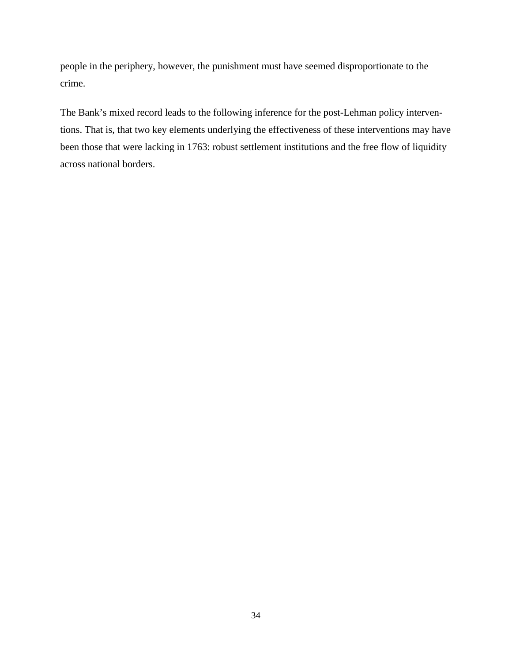people in the periphery, however, the punishment must have seemed disproportionate to the crime.

The Bank's mixed record leads to the following inference for the post-Lehman policy interventions. That is, that two key elements underlying the effectiveness of these interventions may have been those that were lacking in 1763: robust settlement institutions and the free flow of liquidity across national borders.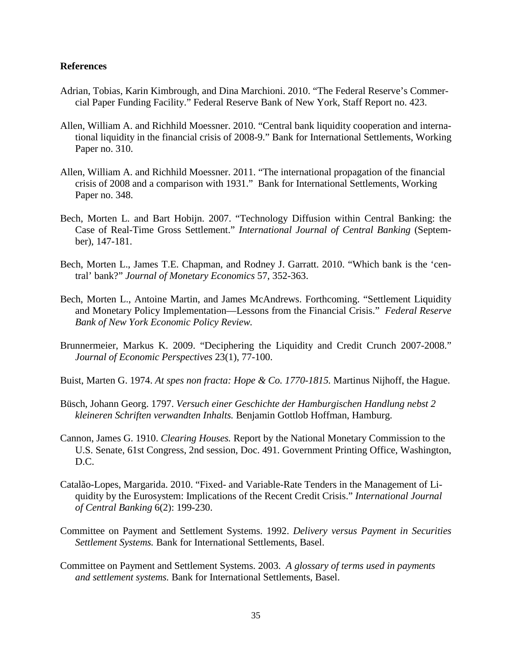## **References**

- Adrian, Tobias, Karin Kimbrough, and Dina Marchioni. 2010. "The Federal Reserve's Commercial Paper Funding Facility." Federal Reserve Bank of New York, Staff Report no. 423.
- Allen, William A. and Richhild Moessner. 2010. "Central bank liquidity cooperation and international liquidity in the financial crisis of 2008-9." Bank for International Settlements, Working Paper no. 310.
- Allen, William A. and Richhild Moessner. 2011. "The international propagation of the financial crisis of 2008 and a comparison with 1931." Bank for International Settlements, Working Paper no. 348.
- Bech, Morten L. and Bart Hobijn. 2007. "Technology Diffusion within Central Banking: the Case of Real-Time Gross Settlement." *International Journal of Central Banking* (September), 147-181.
- Bech, Morten L., James T.E. Chapman, and Rodney J. Garratt. 2010. "Which bank is the 'central' bank?" *Journal of Monetary Economics* 57, 352-363.
- Bech, Morten L., Antoine Martin, and James McAndrews. Forthcoming. "Settlement Liquidity and Monetary Policy Implementation—Lessons from the Financial Crisis." *Federal Reserve Bank of New York Economic Policy Review.*
- Brunnermeier, Markus K. 2009. "Deciphering the Liquidity and Credit Crunch 2007-2008." *Journal of Economic Perspectives* 23(1), 77-100.
- Buist, Marten G. 1974. *At spes non fracta: Hope & Co. 1770-1815.* Martinus Nijhoff, the Hague.
- Büsch, Johann Georg. 1797. *Versuch einer Geschichte der Hamburgischen Handlung nebst 2 kleineren Schriften verwandten Inhalts.* Benjamin Gottlob Hoffman, Hamburg.
- Cannon, James G. 1910. *Clearing Houses.* Report by the National Monetary Commission to the U.S. Senate, 61st Congress, 2nd session, Doc. 491. Government Printing Office, Washington, D.C.
- Catalão-Lopes, Margarida. 2010. "Fixed- and Variable-Rate Tenders in the Management of Liquidity by the Eurosystem: Implications of the Recent Credit Crisis." *International Journal of Central Banking* 6(2): 199-230.
- Committee on Payment and Settlement Systems. 1992. *Delivery versus Payment in Securities Settlement Systems.* Bank for International Settlements, Basel.
- Committee on Payment and Settlement Systems. 2003. *A glossary of terms used in payments and settlement systems.* Bank for International Settlements, Basel.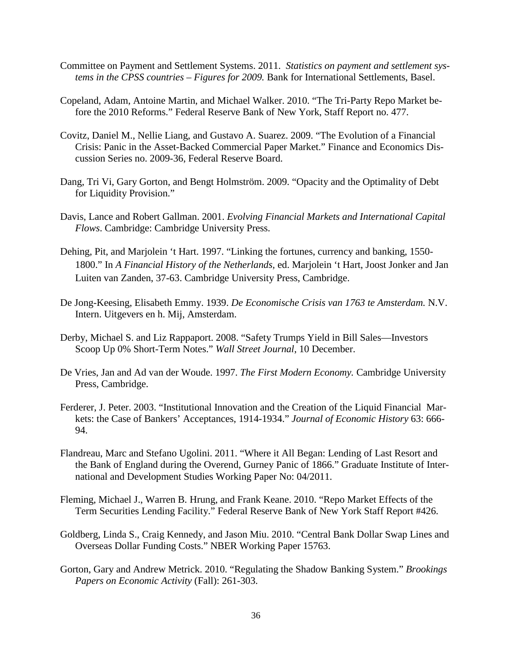- Committee on Payment and Settlement Systems. 2011. *Statistics on payment and settlement systems in the CPSS countries – Figures for 2009.* Bank for International Settlements, Basel.
- Copeland, Adam, Antoine Martin, and Michael Walker. 2010. "The Tri-Party Repo Market before the 2010 Reforms." Federal Reserve Bank of New York, Staff Report no. 477.
- Covitz, Daniel M., Nellie Liang, and Gustavo A. Suarez. 2009. "The Evolution of a Financial Crisis: Panic in the Asset-Backed Commercial Paper Market." Finance and Economics Discussion Series no. 2009-36, Federal Reserve Board.
- Dang, Tri Vi, Gary Gorton, and Bengt Holmström. 2009. "Opacity and the Optimality of Debt for Liquidity Provision."
- Davis, Lance and Robert Gallman. 2001. *Evolving Financial Markets and International Capital Flows*. Cambridge: Cambridge University Press.
- Dehing, Pit, and Marjolein 't Hart. 1997. "Linking the fortunes, currency and banking, 1550- 1800." In *A Financial History of the Netherlands,* ed. Marjolein 't Hart, Joost Jonker and Jan Luiten van Zanden, 37-63. Cambridge University Press, Cambridge.
- De Jong-Keesing, Elisabeth Emmy. 1939. *De Economische Crisis van 1763 te Amsterdam.* N.V. Intern. Uitgevers en h. Mij, Amsterdam.
- Derby, Michael S. and Liz Rappaport. 2008. "Safety Trumps Yield in Bill Sales—Investors Scoop Up 0% Short-Term Notes." *Wall Street Journal*, 10 December.
- De Vries, Jan and Ad van der Woude. 1997. *The First Modern Economy.* Cambridge University Press, Cambridge.
- Ferderer, J. Peter. 2003. "Institutional Innovation and the Creation of the Liquid Financial Markets: the Case of Bankers' Acceptances, 1914-1934." *Journal of Economic History* 63: 666- 94.
- Flandreau, Marc and Stefano Ugolini. 2011. "Where it All Began: Lending of Last Resort and the Bank of England during the Overend, Gurney Panic of 1866." Graduate Institute of International and Development Studies Working Paper No: 04/2011.
- Fleming, Michael J., Warren B. Hrung, and Frank Keane. 2010. "Repo Market Effects of the Term Securities Lending Facility." Federal Reserve Bank of New York Staff Report #426.
- Goldberg, Linda S., Craig Kennedy, and Jason Miu. 2010. "Central Bank Dollar Swap Lines and Overseas Dollar Funding Costs." NBER Working Paper 15763.
- Gorton, Gary and Andrew Metrick. 2010. "Regulating the Shadow Banking System." *Brookings Papers on Economic Activity* (Fall): 261-303.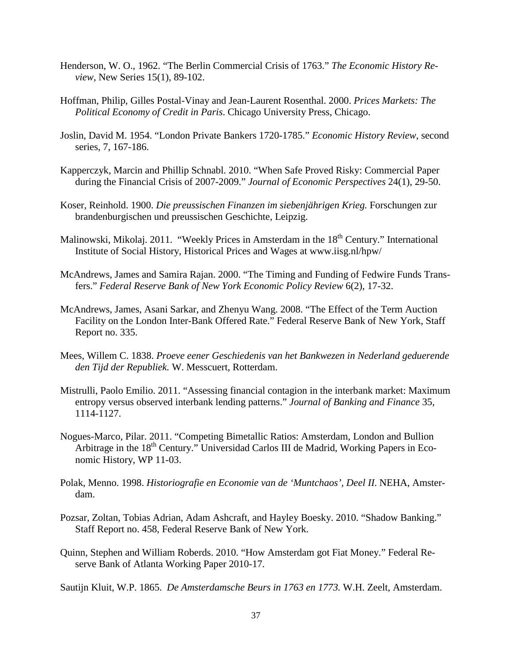- Henderson, W. O., 1962. "The Berlin Commercial Crisis of 1763." *The Economic History Review*, New Series 15(1), 89-102.
- Hoffman, Philip, Gilles Postal-Vinay and Jean-Laurent Rosenthal. 2000. *Prices Markets: The Political Economy of Credit in Paris*. Chicago University Press, Chicago.
- Joslin, David M. 1954. "London Private Bankers 1720-1785." *Economic History Review*, second series, 7, 167-186.
- Kapperczyk, Marcin and Phillip Schnabl. 2010. "When Safe Proved Risky: Commercial Paper during the Financial Crisis of 2007-2009." *Journal of Economic Perspectives* 24(1), 29-50.
- Koser, Reinhold. 1900. *Die preussischen Finanzen im siebenjährigen Krieg.* Forschungen zur brandenburgischen und preussischen Geschichte, Leipzig.
- Malinowski, Mikolaj. 2011. "Weekly Prices in Amsterdam in the 18<sup>th</sup> Century." International Institute of Social History, Historical Prices and Wages at www.iisg.nl/hpw/
- McAndrews, James and Samira Rajan. 2000. "The Timing and Funding of Fedwire Funds Transfers." *Federal Reserve Bank of New York Economic Policy Review* 6(2), 17-32.
- McAndrews, James, Asani Sarkar, and Zhenyu Wang. 2008. "The Effect of the Term Auction Facility on the London Inter-Bank Offered Rate." Federal Reserve Bank of New York, Staff Report no. 335.
- Mees, Willem C. 1838. *Proeve eener Geschiedenis van het Bankwezen in Nederland geduerende den Tijd der Republiek.* W. Messcuert, Rotterdam.
- Mistrulli, Paolo Emilio. 2011. "Assessing financial contagion in the interbank market: Maximum entropy versus observed interbank lending patterns." *Journal of Banking and Finance* 35, 1114-1127.
- Nogues-Marco, Pilar. 2011. "Competing Bimetallic Ratios: Amsterdam, London and Bullion Arbitrage in the  $18<sup>th</sup>$  Century." Universidad Carlos III de Madrid, Working Papers in Economic History, WP 11-03.
- Polak, Menno. 1998. *Historiografie en Economie van de 'Muntchaos', Deel II*. NEHA, Amsterdam.
- Pozsar, Zoltan, Tobias Adrian, Adam Ashcraft, and Hayley Boesky. 2010. "Shadow Banking." Staff Report no. 458, Federal Reserve Bank of New York.
- Quinn, Stephen and William Roberds. 2010. "How Amsterdam got Fiat Money." Federal Reserve Bank of Atlanta Working Paper 2010-17.

Sautijn Kluit, W.P. 1865. *De Amsterdamsche Beurs in 1763 en 1773.* W.H. Zeelt, Amsterdam.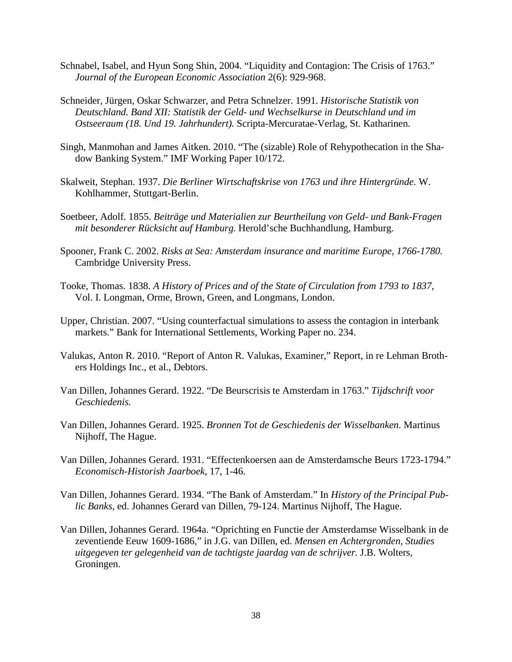- Schnabel, Isabel, and Hyun Song Shin, 2004. "Liquidity and Contagion: The Crisis of 1763." *Journal of the European Economic Association* 2(6): 929-968.
- Schneider, Jürgen, Oskar Schwarzer, and Petra Schnelzer. 1991. *Historische Statistik von Deutschland. Band XII: Statistik der Geld- und Wechselkurse in Deutschland und im Ostseeraum (18. Und 19. Jahrhundert).* Scripta-Mercuratae-Verlag, St. Katharinen.
- Singh, Manmohan and James Aitken. 2010. "The (sizable) Role of Rehypothecation in the Shadow Banking System." IMF Working Paper 10/172.
- Skalweit, Stephan. 1937. *Die Berliner Wirtschaftskrise von 1763 und ihre Hintergründe.* W. Kohlhammer, Stuttgart-Berlin.
- Soetbeer, Adolf. 1855. *Beiträge und Materialien zur Beurtheilung von Geld- und Bank-Fragen mit besonderer Rücksicht auf Hamburg.* Herold'sche Buchhandlung, Hamburg.
- Spooner, Frank C. 2002. *Risks at Sea: Amsterdam insurance and maritime Europe, 1766-1780.* Cambridge University Press.
- Tooke, Thomas. 1838. *A History of Prices and of the State of Circulation from 1793 to 1837,*  Vol. I. Longman, Orme, Brown, Green, and Longmans, London.
- Upper, Christian. 2007. "Using counterfactual simulations to assess the contagion in interbank markets." Bank for International Settlements, Working Paper no. 234.
- Valukas, Anton R. 2010. "Report of Anton R. Valukas, Examiner," Report, in re Lehman Brothers Holdings Inc., et al., Debtors.
- Van Dillen, Johannes Gerard. 1922. "De Beurscrisis te Amsterdam in 1763." *Tijdschrift voor Geschiedenis.*
- Van Dillen, Johannes Gerard. 1925. *Bronnen Tot de Geschiedenis der Wisselbanken*. Martinus Nijhoff, The Hague.
- Van Dillen, Johannes Gerard. 1931. "Effectenkoersen aan de Amsterdamsche Beurs 1723-1794." *Economisch-Historish Jaarboek*, 17, 1-46.
- Van Dillen, Johannes Gerard. 1934. "The Bank of Amsterdam." In *History of the Principal Public Banks*, ed. Johannes Gerard van Dillen, 79-124. Martinus Nijhoff, The Hague.
- Van Dillen, Johannes Gerard. 1964a. "Oprichting en Functie der Amsterdamse Wisselbank in de zeventiende Eeuw 1609-1686," in J.G. van Dillen, ed. *Mensen en Achtergronden, Studies uitgegeven ter gelegenheid van de tachtigste jaardag van de schrijver.* J.B. Wolters, Groningen.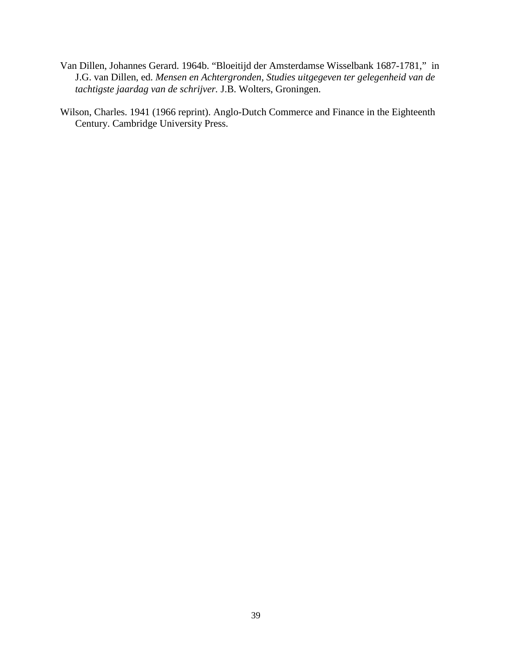- Van Dillen, Johannes Gerard. 1964b. "Bloeitijd der Amsterdamse Wisselbank 1687-1781," in J.G. van Dillen, ed. *Mensen en Achtergronden, Studies uitgegeven ter gelegenheid van de tachtigste jaardag van de schrijver.* J.B. Wolters, Groningen.
- Wilson, Charles. 1941 (1966 reprint). Anglo-Dutch Commerce and Finance in the Eighteenth Century. Cambridge University Press.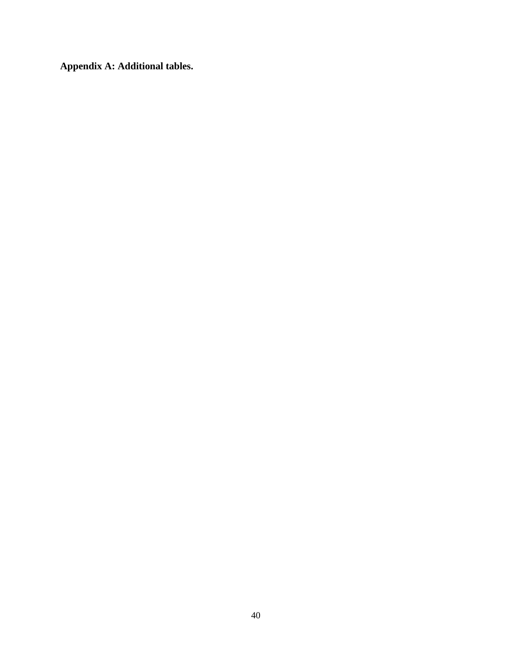**Appendix A: Additional tables.**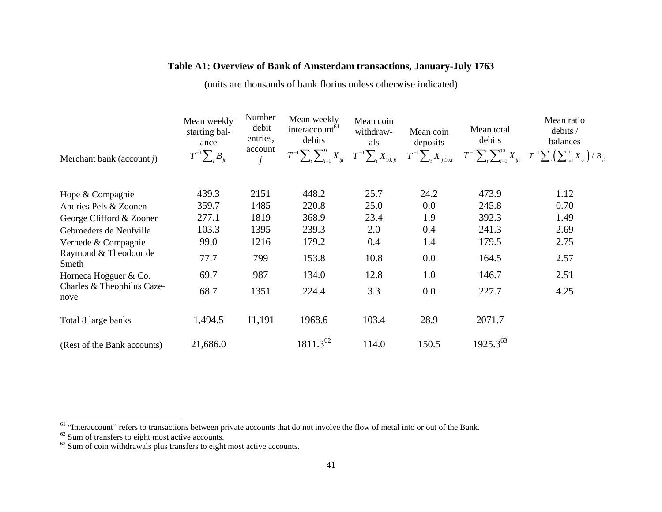## **Table A1: Overview of Bank of Amsterdam transactions, January-July 1763**

(units are thousands of bank florins unless otherwise indicated)

| Merchant bank (account j)          | Mean weekly<br>starting bal-<br>ance<br>$T^{-1}\sum_{t}B_{jt}$ | Number<br>debit<br>entries,<br>account | Mean weekly<br>interaccount <sup>61</sup><br>debits<br>$T^{-1} \sum_{t} \sum_{i=1}^{9} X_{ijt}$ | Mean coin<br>withdraw-<br>als<br>$T^{-1}\sum_t X_{10,\,jt}$ | Mean coin<br>deposits<br>$T^{-1} \sum_{t} X_{_{j,10,t}}$ | Mean total<br>debits | Mean ratio<br>debits /<br>balances<br>$T^{-1} \sum_{l} \sum_{i=1}^{10} X_{iji}$ $T^{-1} \sum_{l} \left( \sum_{i=1}^{10} X_{ijl} \right) / B_{ijl}$ |
|------------------------------------|----------------------------------------------------------------|----------------------------------------|-------------------------------------------------------------------------------------------------|-------------------------------------------------------------|----------------------------------------------------------|----------------------|----------------------------------------------------------------------------------------------------------------------------------------------------|
| Hope & Compagnie                   | 439.3                                                          | 2151                                   | 448.2                                                                                           | 25.7                                                        | 24.2                                                     | 473.9                | 1.12                                                                                                                                               |
| Andries Pels & Zoonen              | 359.7                                                          | 1485                                   | 220.8                                                                                           | 25.0                                                        | $0.0\,$                                                  | 245.8                | 0.70                                                                                                                                               |
| George Clifford & Zoonen           | 277.1                                                          | 1819                                   | 368.9                                                                                           | 23.4                                                        | 1.9                                                      | 392.3                | 1.49                                                                                                                                               |
| Gebroeders de Neufville            | 103.3                                                          | 1395                                   | 239.3                                                                                           | 2.0                                                         | 0.4                                                      | 241.3                | 2.69                                                                                                                                               |
| Vernede & Compagnie                | 99.0                                                           | 1216                                   | 179.2                                                                                           | 0.4                                                         | 1.4                                                      | 179.5                | 2.75                                                                                                                                               |
| Raymond & Theodoor de<br>Smeth     | 77.7                                                           | 799                                    | 153.8                                                                                           | 10.8                                                        | 0.0                                                      | 164.5                | 2.57                                                                                                                                               |
| Horneca Hogguer & Co.              | 69.7                                                           | 987                                    | 134.0                                                                                           | 12.8                                                        | 1.0                                                      | 146.7                | 2.51                                                                                                                                               |
| Charles & Theophilus Caze-<br>nove | 68.7                                                           | 1351                                   | 224.4                                                                                           | 3.3                                                         | 0.0                                                      | 227.7                | 4.25                                                                                                                                               |
| Total 8 large banks                | 1,494.5                                                        | 11,191                                 | 1968.6                                                                                          | 103.4                                                       | 28.9                                                     | 2071.7               |                                                                                                                                                    |
| (Rest of the Bank accounts)        | 21,686.0                                                       |                                        | $1811.3^{62}$                                                                                   | 114.0                                                       | 150.5                                                    | 1925.363             |                                                                                                                                                    |

<sup>&</sup>lt;sup>61</sup> "Interaccount" refers to transactions between private accounts that do not involve the flow of metal into or out of the Bank.

 $62$  Sum of transfers to eight most active accounts.

 $63$  Sum of coin withdrawals plus transfers to eight most active accounts.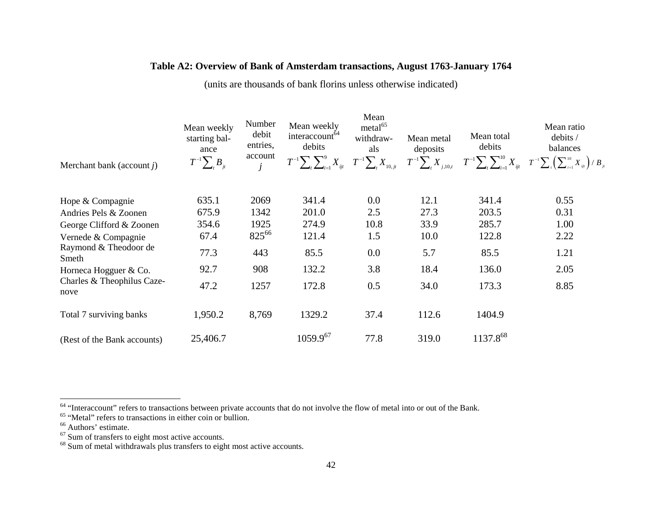## **Table A2: Overview of Bank of Amsterdam transactions, August 1763-January 1764**

(units are thousands of bank florins unless otherwise indicated)

| Merchant bank (account j)          | Mean weekly<br>starting bal-<br>ance<br>$T^{-1}\sum_{t}B_{jt}$ | Number<br>debit<br>entries,<br>account | Mean weekly<br>interaccount <sup>64</sup><br>debits<br>$T^{-1} \sum_{t} \sum_{i=1}^{9} X_{ijt}$ | Mean<br>metal <sup>65</sup><br>withdraw-<br>als<br>$T^{-1}\sum_t X_{10,\,jt}$ | Mean metal<br>deposits | Mean total<br>debits | Mean ratio<br>debits /<br>balances<br>$T^{-1} \sum_{t} X_{j,10,t}$ $T^{-1} \sum_{t} \sum_{i=1}^{10} X_{ijt}$ $T^{-1} \sum_{t} \left( \sum_{i=1}^{10} X_{ijt} \right) / B_{j}$ |
|------------------------------------|----------------------------------------------------------------|----------------------------------------|-------------------------------------------------------------------------------------------------|-------------------------------------------------------------------------------|------------------------|----------------------|-------------------------------------------------------------------------------------------------------------------------------------------------------------------------------|
| Hope & Compagnie                   | 635.1                                                          | 2069                                   | 341.4                                                                                           | 0.0                                                                           | 12.1                   | 341.4                | 0.55                                                                                                                                                                          |
| Andries Pels & Zoonen              | 675.9                                                          | 1342                                   | 201.0                                                                                           | 2.5                                                                           | 27.3                   | 203.5                | 0.31                                                                                                                                                                          |
| George Clifford & Zoonen           | 354.6                                                          | 1925                                   | 274.9                                                                                           | 10.8                                                                          | 33.9                   | 285.7                | 1.00                                                                                                                                                                          |
| Vernede & Compagnie                | 67.4                                                           | 825 <sup>66</sup>                      | 121.4                                                                                           | 1.5                                                                           | 10.0                   | 122.8                | 2.22                                                                                                                                                                          |
| Raymond & Theodoor de<br>Smeth     | 77.3                                                           | 443                                    | 85.5                                                                                            | 0.0                                                                           | 5.7                    | 85.5                 | 1.21                                                                                                                                                                          |
| Horneca Hogguer & Co.              | 92.7                                                           | 908                                    | 132.2                                                                                           | 3.8                                                                           | 18.4                   | 136.0                | 2.05                                                                                                                                                                          |
| Charles & Theophilus Caze-<br>nove | 47.2                                                           | 1257                                   | 172.8                                                                                           | 0.5                                                                           | 34.0                   | 173.3                | 8.85                                                                                                                                                                          |
| Total 7 surviving banks            | 1,950.2                                                        | 8,769                                  | 1329.2                                                                                          | 37.4                                                                          | 112.6                  | 1404.9               |                                                                                                                                                                               |
| (Rest of the Bank accounts)        | 25,406.7                                                       |                                        | $1059.9^{67}$                                                                                   | 77.8                                                                          | 319.0                  | 1137.868             |                                                                                                                                                                               |

<sup>64</sup> "Interaccount" refers to transactions between private accounts that do not involve the flow of metal into or out of the Bank.

<sup>&</sup>lt;sup>65</sup> "Metal" refers to transactions in either coin or bullion.

 $66 \text{ Authors' estimate.}$ <br> $67$  Sum of transfers to eight most active accounts.

<sup>&</sup>lt;sup>68</sup> Sum of metal withdrawals plus transfers to eight most active accounts.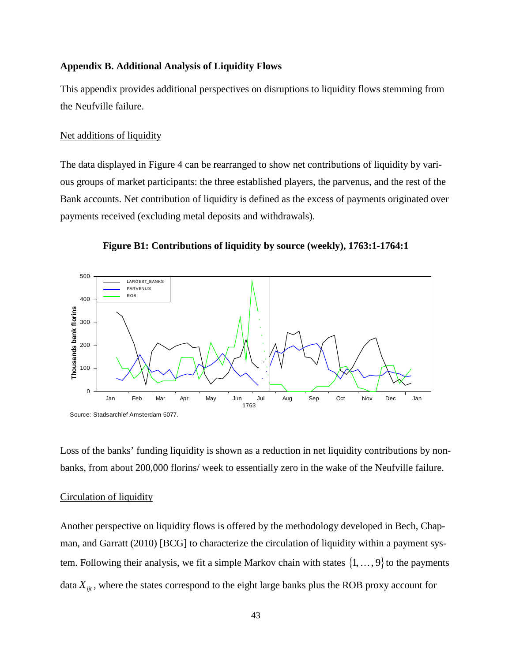## **Appendix B. Additional Analysis of Liquidity Flows**

This appendix provides additional perspectives on disruptions to liquidity flows stemming from the Neufville failure.

#### Net additions of liquidity

The data displayed in Figure 4 can be rearranged to show net contributions of liquidity by various groups of market participants: the three established players, the parvenus, and the rest of the Bank accounts. Net contribution of liquidity is defined as the excess of payments originated over payments received (excluding metal deposits and withdrawals).





Loss of the banks' funding liquidity is shown as a reduction in net liquidity contributions by nonbanks, from about 200,000 florins/ week to essentially zero in the wake of the Neufville failure.

#### Circulation of liquidity

Another perspective on liquidity flows is offered by the methodology developed in Bech, Chapman, and Garratt (2010) [BCG] to characterize the circulation of liquidity within a payment system. Following their analysis, we fit a simple Markov chain with states  $\{1, \ldots, 9\}$  to the payments data  $X_{ijt}$ , where the states correspond to the eight large banks plus the ROB proxy account for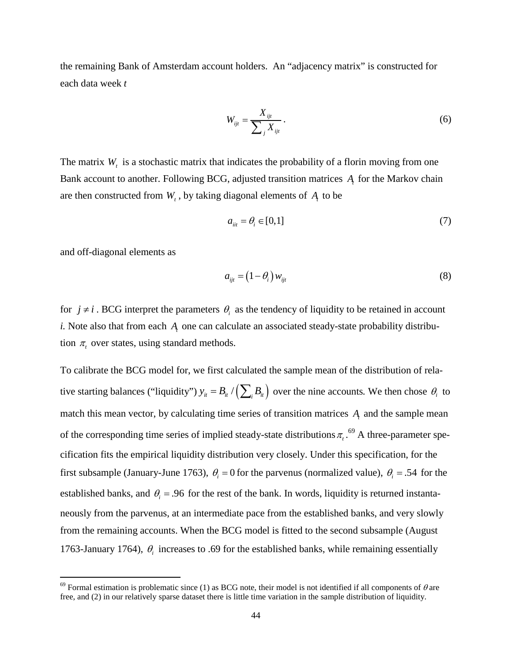the remaining Bank of Amsterdam account holders. An "adjacency matrix" is constructed for each data week *t* 

$$
W_{ijt} = \frac{X_{ijt}}{\sum_{j} X_{ijt}}.
$$
\n
$$
(6)
$$

The matrix  $W_t$  is a stochastic matrix that indicates the probability of a florin moving from one Bank account to another. Following BCG, adjusted transition matrices A, for the Markov chain are then constructed from  $W_t$ , by taking diagonal elements of  $A_t$  to be

$$
a_{ii} = \theta_i \in [0,1] \tag{7}
$$

and off-diagonal elements as

**.** 

$$
a_{ijt} = (1 - \theta_i) w_{ijt}
$$
 (8)

for  $j \neq i$ . BCG interpret the parameters  $\theta_i$  as the tendency of liquidity to be retained in account *i*. Note also that from each *A*, one can calculate an associated steady-state probability distribution  $\pi$ , over states, using standard methods.

To calibrate the BCG model for, we first calculated the sample mean of the distribution of relative starting balances ("liquidity")  $y_{it} = B_{it} / (\sum_i B_i)$  over the nine accounts. We then chose  $\theta_i$  to match this mean vector, by calculating time series of transition matrices A, and the sample mean of the corresponding time series of implied steady-state distributions  $\pi$ <sub>t</sub>.<sup>69</sup> A three-parameter specification fits the empirical liquidity distribution very closely. Under this specification, for the first subsample (January-June 1763),  $\theta_i = 0$  for the parvenus (normalized value),  $\theta_i = .54$  for the established banks, and  $\theta_i = 0.96$  for the rest of the bank. In words, liquidity is returned instantaneously from the parvenus, at an intermediate pace from the established banks, and very slowly from the remaining accounts. When the BCG model is fitted to the second subsample (August 1763-January 1764), θ*i* increases to .69 for the established banks, while remaining essentially

 $69$  Formal estimation is problematic since (1) as BCG note, their model is not identified if all components of  $\theta$  are free, and (2) in our relatively sparse dataset there is little time variation in the sample distribution of liquidity.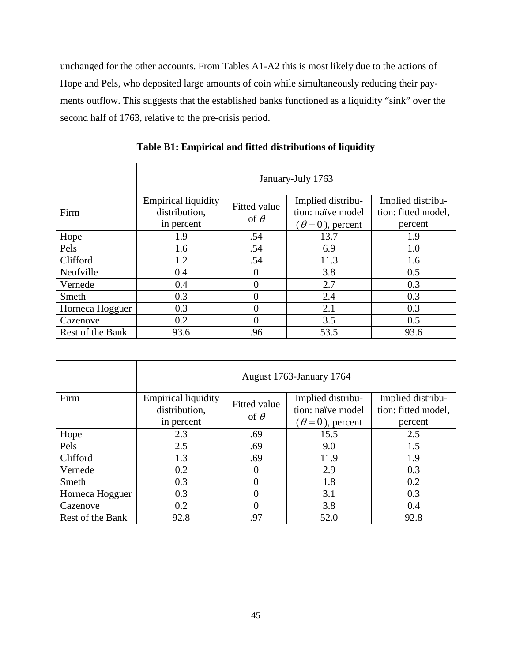unchanged for the other accounts. From Tables A1-A2 this is most likely due to the actions of Hope and Pels, who deposited large amounts of coin while simultaneously reducing their payments outflow. This suggests that the established banks functioned as a liquidity "sink" over the second half of 1763, relative to the pre-crisis period.

|                  | January-July 1763          |                     |                          |                     |  |  |
|------------------|----------------------------|---------------------|--------------------------|---------------------|--|--|
|                  | <b>Empirical liquidity</b> | <b>Fitted value</b> | Implied distribu-        | Implied distribu-   |  |  |
| Firm             | distribution,              | of $\theta$         | tion: naïve model        | tion: fitted model, |  |  |
|                  | in percent                 |                     | $(\theta = 0)$ , percent | percent             |  |  |
| Hope             | 1.9                        | .54                 | 13.7                     | 1.9                 |  |  |
| Pels             | 1.6                        | .54                 | 6.9                      | 1.0                 |  |  |
| Clifford         | 1.2                        | .54                 | 11.3                     | 1.6                 |  |  |
| Neufville        | 0.4                        | 0                   | 3.8                      | 0.5                 |  |  |
| Vernede          | 0.4                        | 0                   | 2.7                      | 0.3                 |  |  |
| Smeth            | 0.3                        | 0                   | 2.4                      | 0.3                 |  |  |
| Horneca Hogguer  | 0.3                        | 0                   | 2.1                      | 0.3                 |  |  |
| Cazenove         | 0.2                        | 0                   | 3.5                      | 0.5                 |  |  |
| Rest of the Bank | 93.6                       | .96                 | 53.5                     | 93.6                |  |  |

**Table B1: Empirical and fitted distributions of liquidity** 

|                  | August 1763-January 1764   |                     |                          |                     |  |  |
|------------------|----------------------------|---------------------|--------------------------|---------------------|--|--|
| Firm             | <b>Empirical liquidity</b> | <b>Fitted value</b> | Implied distribu-        | Implied distribu-   |  |  |
|                  | distribution,              |                     | tion: naïve model        | tion: fitted model, |  |  |
|                  | in percent                 | of $\theta$         | $(\theta = 0)$ , percent | percent             |  |  |
| Hope             | 2.3                        | .69                 | 15.5                     | 2.5                 |  |  |
| Pels             | 2.5                        | .69                 | 9.0                      | 1.5                 |  |  |
| Clifford         | 1.3                        | .69                 | 11.9                     | 1.9                 |  |  |
| Vernede          | 0.2                        | 0                   | 2.9                      | 0.3                 |  |  |
| Smeth            | 0.3                        | 0                   | 1.8                      | 0.2                 |  |  |
| Horneca Hogguer  | 0.3                        |                     | 3.1                      | 0.3                 |  |  |
| Cazenove         | 0.2                        | 0                   | 3.8                      | 0.4                 |  |  |
| Rest of the Bank | 92.8                       | .97                 | 52.0                     | 92.8                |  |  |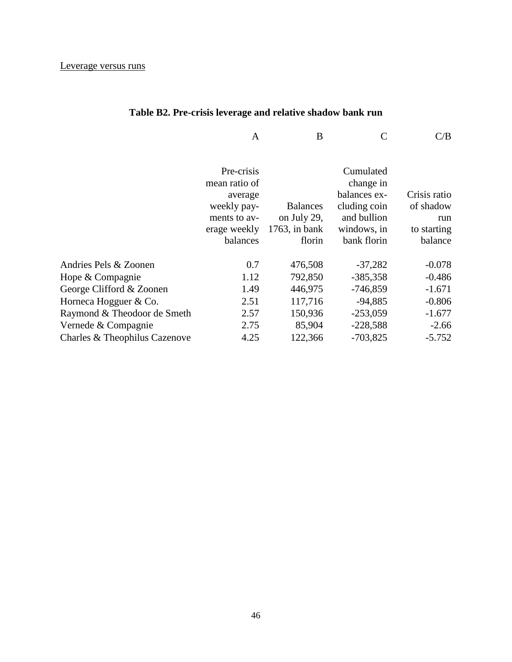# **Table B2. Pre-crisis leverage and relative shadow bank run**

|                               | A                                                                                     | B                                                  | C                                                                                    | C/B                                             |
|-------------------------------|---------------------------------------------------------------------------------------|----------------------------------------------------|--------------------------------------------------------------------------------------|-------------------------------------------------|
|                               | Pre-crisis<br>mean ratio of<br>average<br>weekly pay-<br>ments to av-<br>erage weekly | <b>Balances</b><br>on July 29,<br>$1763$ , in bank | Cumulated<br>change in<br>balances ex-<br>cluding coin<br>and bullion<br>windows, in | Crisis ratio<br>of shadow<br>run<br>to starting |
|                               | balances                                                                              | florin                                             | bank florin                                                                          | balance                                         |
| Andries Pels & Zoonen         | 0.7                                                                                   | 476,508                                            | $-37,282$                                                                            | $-0.078$                                        |
| Hope & Compagnie              | 1.12                                                                                  | 792,850                                            | $-385,358$                                                                           | $-0.486$                                        |
| George Clifford & Zoonen      | 1.49                                                                                  | 446,975                                            | $-746,859$                                                                           | $-1.671$                                        |
| Horneca Hogguer & Co.         | 2.51                                                                                  | 117,716                                            | $-94,885$                                                                            | $-0.806$                                        |
| Raymond & Theodoor de Smeth   | 2.57                                                                                  | 150,936                                            | $-253,059$                                                                           | $-1.677$                                        |
| Vernede & Compagnie           | 2.75                                                                                  | 85,904                                             | $-228,588$                                                                           | $-2.66$                                         |
| Charles & Theophilus Cazenove | 4.25                                                                                  | 122,366                                            | $-703,825$                                                                           | $-5.752$                                        |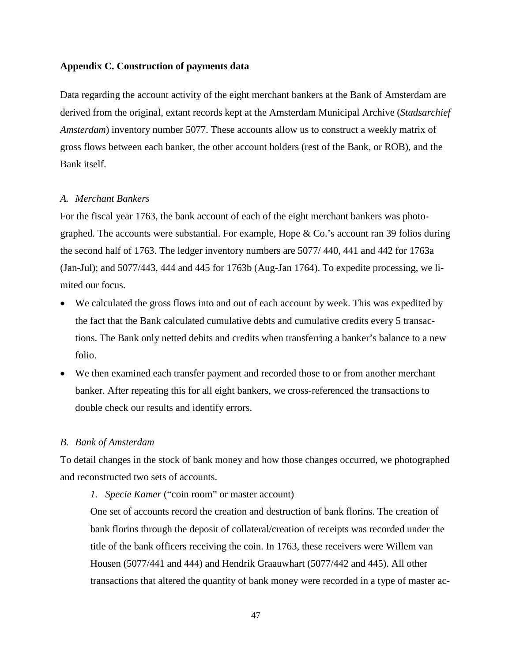## **Appendix C. Construction of payments data**

Data regarding the account activity of the eight merchant bankers at the Bank of Amsterdam are derived from the original, extant records kept at the Amsterdam Municipal Archive (*Stadsarchief Amsterdam*) inventory number 5077. These accounts allow us to construct a weekly matrix of gross flows between each banker, the other account holders (rest of the Bank, or ROB), and the Bank itself.

## *A. Merchant Bankers*

For the fiscal year 1763, the bank account of each of the eight merchant bankers was photographed. The accounts were substantial. For example, Hope & Co.'s account ran 39 folios during the second half of 1763. The ledger inventory numbers are 5077/ 440, 441 and 442 for 1763a (Jan-Jul); and 5077/443, 444 and 445 for 1763b (Aug-Jan 1764). To expedite processing, we limited our focus.

- We calculated the gross flows into and out of each account by week. This was expedited by the fact that the Bank calculated cumulative debts and cumulative credits every 5 transactions. The Bank only netted debits and credits when transferring a banker's balance to a new folio.
- We then examined each transfer payment and recorded those to or from another merchant banker. After repeating this for all eight bankers, we cross-referenced the transactions to double check our results and identify errors.

## *B. Bank of Amsterdam*

To detail changes in the stock of bank money and how those changes occurred, we photographed and reconstructed two sets of accounts.

*1. Specie Kamer* ("coin room" or master account)

One set of accounts record the creation and destruction of bank florins. The creation of bank florins through the deposit of collateral/creation of receipts was recorded under the title of the bank officers receiving the coin. In 1763, these receivers were Willem van Housen (5077/441 and 444) and Hendrik Graauwhart (5077/442 and 445). All other transactions that altered the quantity of bank money were recorded in a type of master ac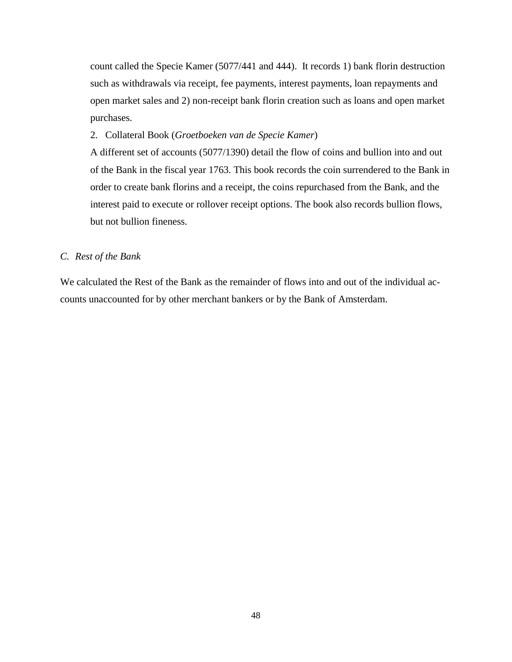count called the Specie Kamer (5077/441 and 444). It records 1) bank florin destruction such as withdrawals via receipt, fee payments, interest payments, loan repayments and open market sales and 2) non-receipt bank florin creation such as loans and open market purchases.

## 2. Collateral Book (*Groetboeken van de Specie Kamer*)

A different set of accounts (5077/1390) detail the flow of coins and bullion into and out of the Bank in the fiscal year 1763. This book records the coin surrendered to the Bank in order to create bank florins and a receipt, the coins repurchased from the Bank, and the interest paid to execute or rollover receipt options. The book also records bullion flows, but not bullion fineness.

#### *C. Rest of the Bank*

We calculated the Rest of the Bank as the remainder of flows into and out of the individual accounts unaccounted for by other merchant bankers or by the Bank of Amsterdam.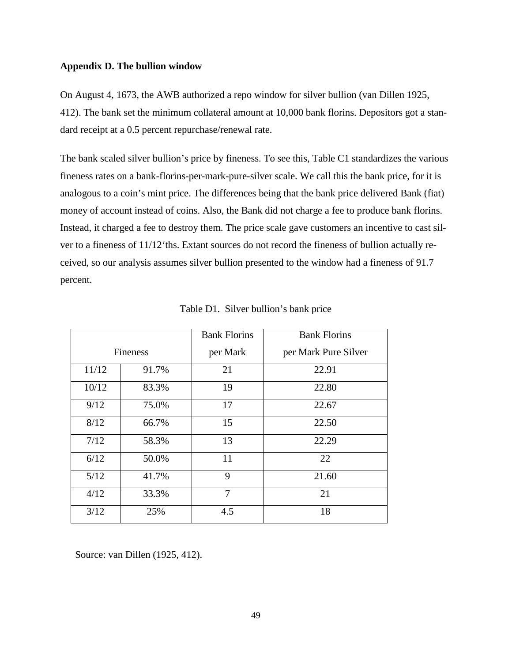#### **Appendix D. The bullion window**

On August 4, 1673, the AWB authorized a repo window for silver bullion (van Dillen 1925, 412). The bank set the minimum collateral amount at 10,000 bank florins. Depositors got a standard receipt at a 0.5 percent repurchase/renewal rate.

The bank scaled silver bullion's price by fineness. To see this, Table C1 standardizes the various fineness rates on a bank-florins-per-mark-pure-silver scale. We call this the bank price, for it is analogous to a coin's mint price. The differences being that the bank price delivered Bank (fiat) money of account instead of coins. Also, the Bank did not charge a fee to produce bank florins. Instead, it charged a fee to destroy them. The price scale gave customers an incentive to cast silver to a fineness of 11/12'ths. Extant sources do not record the fineness of bullion actually received, so our analysis assumes silver bullion presented to the window had a fineness of 91.7 percent.

|                 |       | <b>Bank Florins</b> | <b>Bank Florins</b>  |
|-----------------|-------|---------------------|----------------------|
| <b>Fineness</b> |       | per Mark            | per Mark Pure Silver |
| 11/12           | 91.7% | 21                  | 22.91                |
| 10/12           | 83.3% | 19                  | 22.80                |
| 9/12            | 75.0% | 17                  | 22.67                |
| 8/12            | 66.7% | 15                  | 22.50                |
| 7/12            | 58.3% | 13                  | 22.29                |
| 6/12            | 50.0% | 11                  | 22                   |
| 5/12            | 41.7% | 9                   | 21.60                |
| 4/12            | 33.3% | 7                   | 21                   |
| 3/12            | 25%   | 4.5                 | 18                   |

Table D1. Silver bullion's bank price

Source: van Dillen (1925, 412).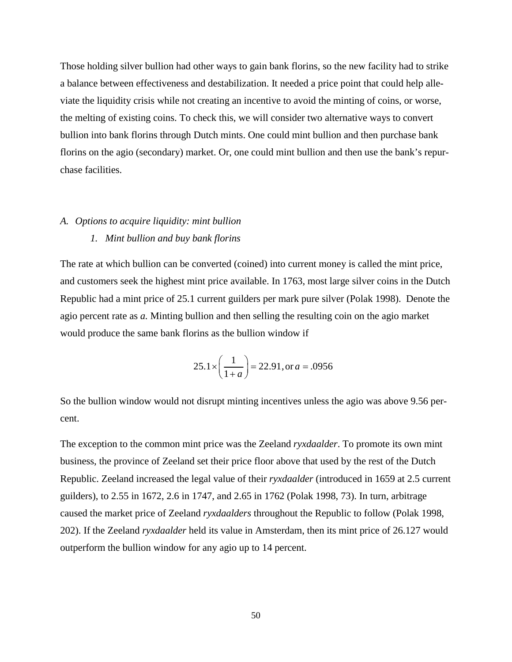Those holding silver bullion had other ways to gain bank florins, so the new facility had to strike a balance between effectiveness and destabilization. It needed a price point that could help alleviate the liquidity crisis while not creating an incentive to avoid the minting of coins, or worse, the melting of existing coins. To check this, we will consider two alternative ways to convert bullion into bank florins through Dutch mints. One could mint bullion and then purchase bank florins on the agio (secondary) market. Or, one could mint bullion and then use the bank's repurchase facilities.

# *A. Options to acquire liquidity: mint bullion 1. Mint bullion and buy bank florins*

The rate at which bullion can be converted (coined) into current money is called the mint price, and customers seek the highest mint price available. In 1763, most large silver coins in the Dutch Republic had a mint price of 25.1 current guilders per mark pure silver (Polak 1998). Denote the agio percent rate as *a.* Minting bullion and then selling the resulting coin on the agio market would produce the same bank florins as the bullion window if

$$
25.1 \times \left(\frac{1}{1+a}\right) = 22.91, \text{ or } a = .0956
$$

So the bullion window would not disrupt minting incentives unless the agio was above 9.56 percent.

The exception to the common mint price was the Zeeland *ryxdaalder*. To promote its own mint business, the province of Zeeland set their price floor above that used by the rest of the Dutch Republic. Zeeland increased the legal value of their *ryxdaalder* (introduced in 1659 at 2.5 current guilders), to 2.55 in 1672, 2.6 in 1747, and 2.65 in 1762 (Polak 1998, 73). In turn, arbitrage caused the market price of Zeeland *ryxdaalders* throughout the Republic to follow (Polak 1998, 202). If the Zeeland *ryxdaalder* held its value in Amsterdam, then its mint price of 26.127 would outperform the bullion window for any agio up to 14 percent.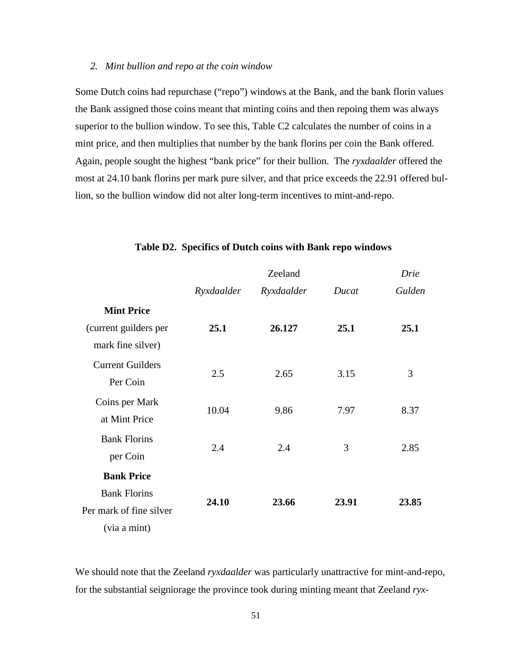### *2. Mint bullion and repo at the coin window*

Some Dutch coins had repurchase ("repo") windows at the Bank, and the bank florin values the Bank assigned those coins meant that minting coins and then repoing them was always superior to the bullion window. To see this, Table C2 calculates the number of coins in a mint price, and then multiplies that number by the bank florins per coin the Bank offered. Again, people sought the highest "bank price" for their bullion. The *ryxdaalder* offered the most at 24.10 bank florins per mark pure silver, and that price exceeds the 22.91 offered bullion, so the bullion window did not alter long-term incentives to mint-and-repo.

|                                            | Zeeland    |            |       | Drie   |
|--------------------------------------------|------------|------------|-------|--------|
|                                            | Ryxdaalder | Ryxdaalder | Ducat | Gulden |
| <b>Mint Price</b>                          |            |            |       |        |
| (current guilders per<br>mark fine silver) | 25.1       | 26.127     | 25.1  | 25.1   |
| <b>Current Guilders</b><br>Per Coin        | 2.5        | 2.65       | 3.15  | 3      |
| Coins per Mark<br>at Mint Price            | 10.04      | 9.86       | 7.97  | 8.37   |
| <b>Bank Florins</b><br>per Coin            | 2.4        | 2.4        | 3     | 2.85   |
| <b>Bank Price</b>                          |            |            |       |        |
| <b>Bank Florins</b>                        | 24.10      |            |       |        |
| Per mark of fine silver                    |            | 23.66      | 23.91 | 23.85  |
| (via a mint)                               |            |            |       |        |

#### **Table D2. Specifics of Dutch coins with Bank repo windows**

We should note that the Zeeland *ryxdaalder* was particularly unattractive for mint-and-repo, for the substantial seigniorage the province took during minting meant that Zeeland *ryx-*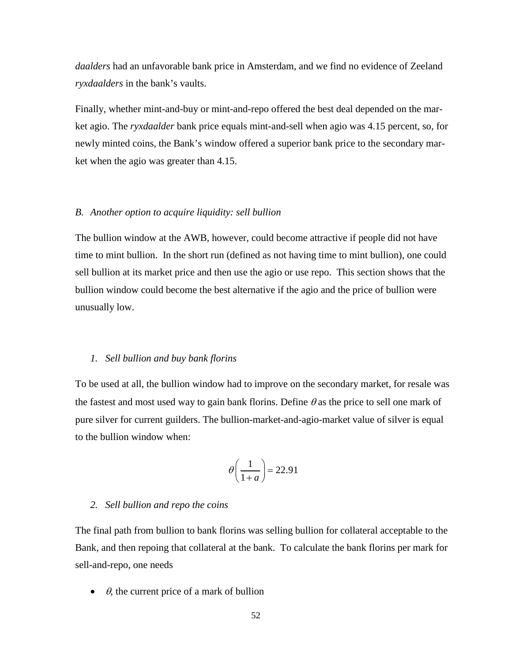*daalders* had an unfavorable bank price in Amsterdam, and we find no evidence of Zeeland *ryxdaalders* in the bank's vaults.

Finally, whether mint-and-buy or mint-and-repo offered the best deal depended on the market agio. The *ryxdaalder* bank price equals mint-and-sell when agio was 4.15 percent, so, for newly minted coins, the Bank's window offered a superior bank price to the secondary market when the agio was greater than 4.15.

### *B. Another option to acquire liquidity: sell bullion*

The bullion window at the AWB, however, could become attractive if people did not have time to mint bullion. In the short run (defined as not having time to mint bullion), one could sell bullion at its market price and then use the agio or use repo. This section shows that the bullion window could become the best alternative if the agio and the price of bullion were unusually low.

#### *1. Sell bullion and buy bank florins*

To be used at all, the bullion window had to improve on the secondary market, for resale was the fastest and most used way to gain bank florins. Define  $\theta$  as the price to sell one mark of pure silver for current guilders. The bullion-market-and-agio-market value of silver is equal to the bullion window when:

$$
\theta\left(\frac{1}{1+a}\right) = 22.91
$$

#### *2. Sell bullion and repo the coins*

The final path from bullion to bank florins was selling bullion for collateral acceptable to the Bank, and then repoing that collateral at the bank. To calculate the bank florins per mark for sell-and-repo, one needs

• θ*,* the current price of a mark of bullion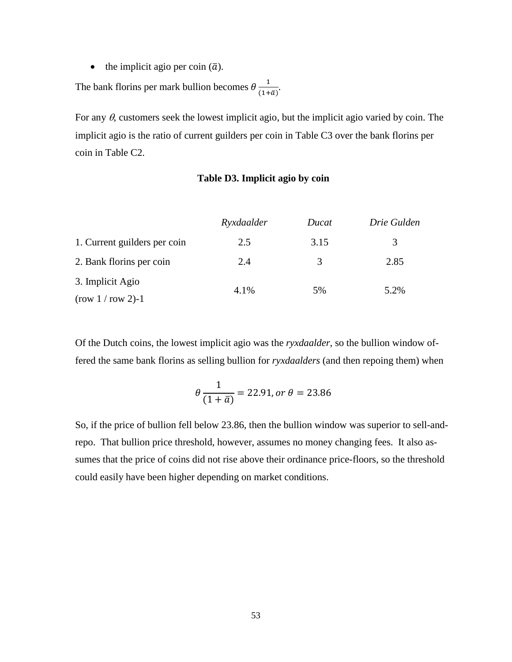• the implicit agio per coin  $(\overline{a})$ .

The bank florins per mark bullion becomes  $\theta \frac{1}{(1+\bar{\alpha})}$ .

For any  $\theta$ , customers seek the lowest implicit agio, but the implicit agio varied by coin. The implicit agio is the ratio of current guilders per coin in Table C3 over the bank florins per coin in Table C2.

### **Table D3. Implicit agio by coin**

|                                      | Ryxdaalder | Ducat | Drie Gulden |
|--------------------------------------|------------|-------|-------------|
| 1. Current guilders per coin         | 2.5        | 3.15  | 3           |
| 2. Bank florins per coin             | 2.4        | 3     | 2.85        |
| 3. Implicit Agio                     | 4.1%       | 5%    | 5.2%        |
| $(\text{row } 1 / \text{row } 2)$ -1 |            |       |             |

Of the Dutch coins, the lowest implicit agio was the *ryxdaalder*, so the bullion window offered the same bank florins as selling bullion for *ryxdaalders* (and then repoing them) when

$$
\theta \frac{1}{(1+\bar{a})} = 22.91, or \theta = 23.86
$$

So, if the price of bullion fell below 23.86, then the bullion window was superior to sell-andrepo. That bullion price threshold, however, assumes no money changing fees. It also assumes that the price of coins did not rise above their ordinance price-floors, so the threshold could easily have been higher depending on market conditions.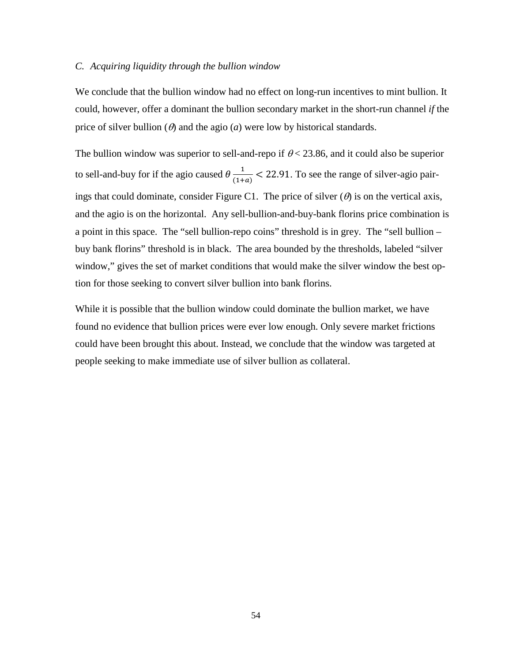#### *C. Acquiring liquidity through the bullion window*

We conclude that the bullion window had no effect on long-run incentives to mint bullion. It could, however, offer a dominant the bullion secondary market in the short-run channel *if* the price of silver bullion  $(\theta)$  and the agio  $(a)$  were low by historical standards.

The bullion window was superior to sell-and-repo if  $\theta$  < 23.86, and it could also be superior to sell-and-buy for if the agio caused  $\theta \frac{1}{(1+a)} < 22.91$ . To see the range of silver-agio pairings that could dominate, consider Figure C1. The price of silver  $(\theta)$  is on the vertical axis, and the agio is on the horizontal. Any sell-bullion-and-buy-bank florins price combination is a point in this space. The "sell bullion-repo coins" threshold is in grey. The "sell bullion – buy bank florins" threshold is in black. The area bounded by the thresholds, labeled "silver window," gives the set of market conditions that would make the silver window the best option for those seeking to convert silver bullion into bank florins.

While it is possible that the bullion window could dominate the bullion market, we have found no evidence that bullion prices were ever low enough. Only severe market frictions could have been brought this about. Instead, we conclude that the window was targeted at people seeking to make immediate use of silver bullion as collateral.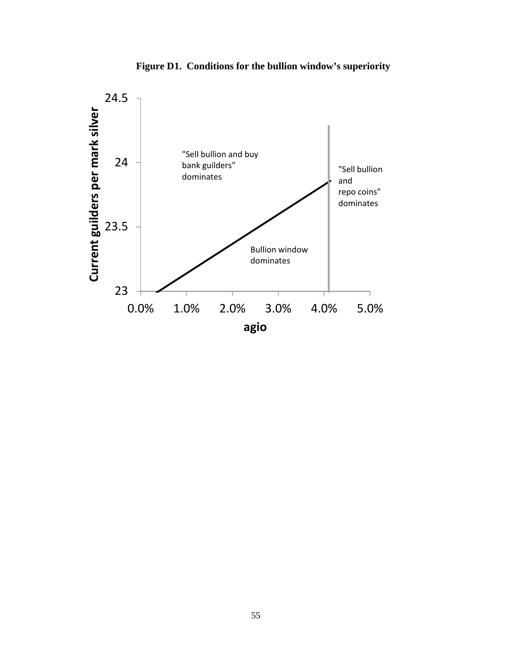

**Figure D1. Conditions for the bullion window's superiority**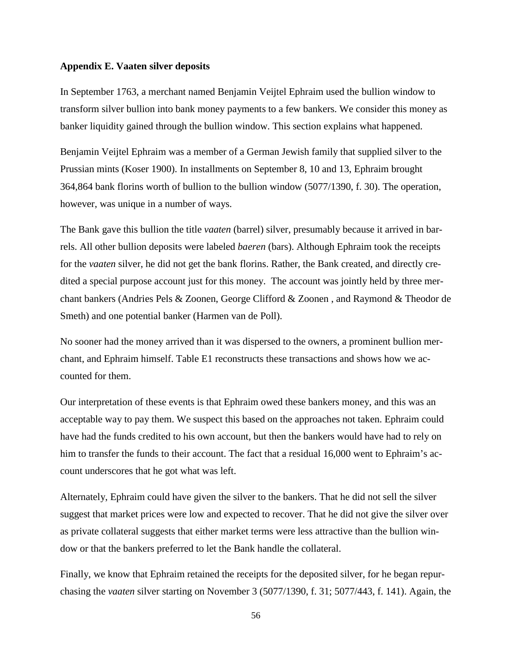#### **Appendix E. Vaaten silver deposits**

In September 1763, a merchant named Benjamin Veijtel Ephraim used the bullion window to transform silver bullion into bank money payments to a few bankers. We consider this money as banker liquidity gained through the bullion window. This section explains what happened.

Benjamin Veijtel Ephraim was a member of a German Jewish family that supplied silver to the Prussian mints (Koser 1900). In installments on September 8, 10 and 13, Ephraim brought 364,864 bank florins worth of bullion to the bullion window (5077/1390, f. 30). The operation, however, was unique in a number of ways.

The Bank gave this bullion the title *vaaten* (barrel) silver, presumably because it arrived in barrels. All other bullion deposits were labeled *baeren* (bars). Although Ephraim took the receipts for the *vaaten* silver, he did not get the bank florins. Rather, the Bank created, and directly credited a special purpose account just for this money. The account was jointly held by three merchant bankers (Andries Pels & Zoonen, George Clifford & Zoonen , and Raymond & Theodor de Smeth) and one potential banker (Harmen van de Poll).

No sooner had the money arrived than it was dispersed to the owners, a prominent bullion merchant, and Ephraim himself. Table E1 reconstructs these transactions and shows how we accounted for them.

Our interpretation of these events is that Ephraim owed these bankers money, and this was an acceptable way to pay them. We suspect this based on the approaches not taken. Ephraim could have had the funds credited to his own account, but then the bankers would have had to rely on him to transfer the funds to their account. The fact that a residual 16,000 went to Ephraim's account underscores that he got what was left.

Alternately, Ephraim could have given the silver to the bankers. That he did not sell the silver suggest that market prices were low and expected to recover. That he did not give the silver over as private collateral suggests that either market terms were less attractive than the bullion window or that the bankers preferred to let the Bank handle the collateral.

Finally, we know that Ephraim retained the receipts for the deposited silver, for he began repurchasing the *vaaten* silver starting on November 3 (5077/1390, f. 31; 5077/443, f. 141). Again, the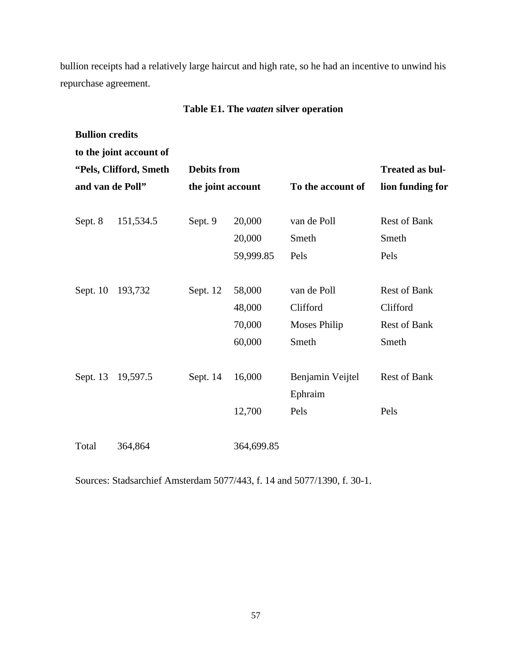bullion receipts had a relatively large haircut and high rate, so he had an incentive to unwind his repurchase agreement.

| <b>Bullion credits</b>                                                |           |                                                              |                                      |                                                         |                                                          |  |  |
|-----------------------------------------------------------------------|-----------|--------------------------------------------------------------|--------------------------------------|---------------------------------------------------------|----------------------------------------------------------|--|--|
| to the joint account of<br>"Pels, Clifford, Smeth<br>and van de Poll" |           | <b>Debits from</b><br>the joint account<br>To the account of |                                      |                                                         | <b>Treated as bul-</b><br>lion funding for               |  |  |
| Sept. 8                                                               | 151,534.5 | Sept. 9                                                      | 20,000<br>20,000<br>59,999.85        | van de Poll<br>Smeth<br>Pels                            | <b>Rest of Bank</b><br>Smeth<br>Pels                     |  |  |
| Sept. 10                                                              | 193,732   | Sept. 12                                                     | 58,000<br>48,000<br>70,000<br>60,000 | van de Poll<br>Clifford<br><b>Moses Philip</b><br>Smeth | <b>Rest of Bank</b><br>Clifford<br>Rest of Bank<br>Smeth |  |  |
| Sept. 13                                                              | 19,597.5  | Sept. 14                                                     | 16,000<br>12,700                     | Benjamin Veijtel<br>Ephraim<br>Pels                     | <b>Rest of Bank</b><br>Pels                              |  |  |
| Total                                                                 | 364,864   |                                                              | 364,699.85                           |                                                         |                                                          |  |  |

Sources: Stadsarchief Amsterdam 5077/443, f. 14 and 5077/1390, f. 30-1.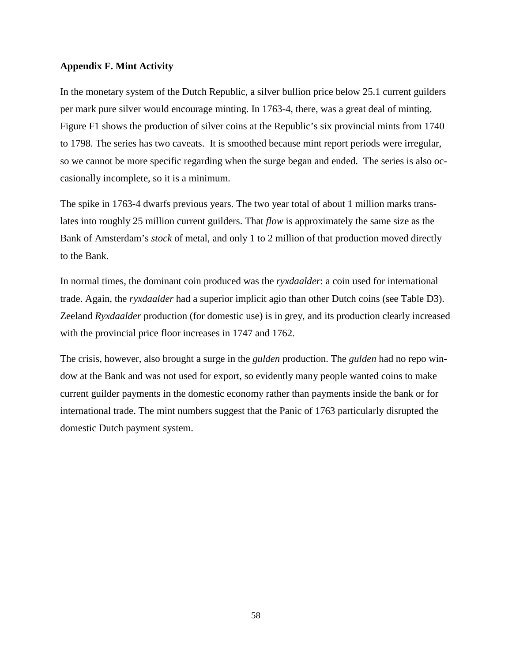## **Appendix F. Mint Activity**

In the monetary system of the Dutch Republic, a silver bullion price below 25.1 current guilders per mark pure silver would encourage minting. In 1763-4, there, was a great deal of minting. Figure F1 shows the production of silver coins at the Republic's six provincial mints from 1740 to 1798. The series has two caveats. It is smoothed because mint report periods were irregular, so we cannot be more specific regarding when the surge began and ended. The series is also occasionally incomplete, so it is a minimum.

The spike in 1763-4 dwarfs previous years. The two year total of about 1 million marks translates into roughly 25 million current guilders. That *flow* is approximately the same size as the Bank of Amsterdam's *stock* of metal, and only 1 to 2 million of that production moved directly to the Bank.

In normal times, the dominant coin produced was the *ryxdaalder*: a coin used for international trade. Again, the *ryxdaalder* had a superior implicit agio than other Dutch coins (see Table D3). Zeeland *Ryxdaalder* production (for domestic use) is in grey, and its production clearly increased with the provincial price floor increases in 1747 and 1762.

The crisis, however, also brought a surge in the *gulden* production. The *gulden* had no repo window at the Bank and was not used for export, so evidently many people wanted coins to make current guilder payments in the domestic economy rather than payments inside the bank or for international trade. The mint numbers suggest that the Panic of 1763 particularly disrupted the domestic Dutch payment system.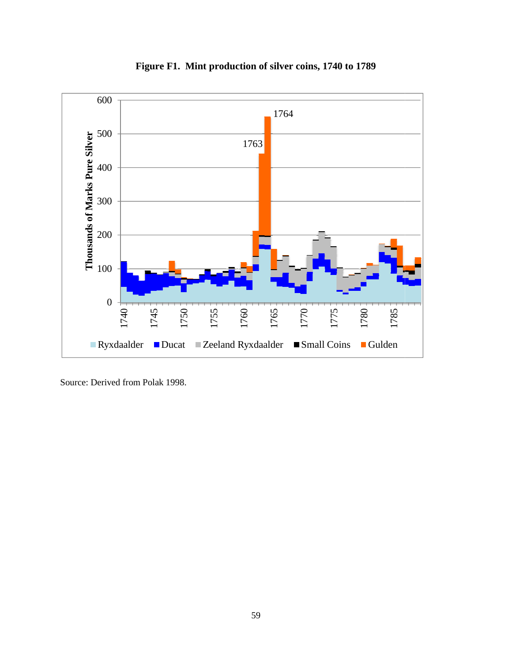

**Figure F1. Mint production of silver coins, 1740 to 1789** 

Source: Derived from Polak 1998.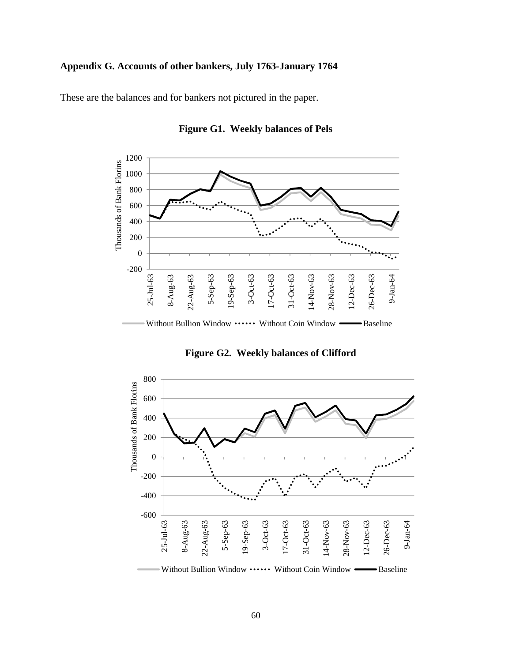## **Appendix G. Accounts of other bankers, July 1763-January 1764**

These are the balances and for bankers not pictured in the paper.



**Figure G1. Weekly balances of Pels** 

**Figure G2. Weekly balances of Clifford**

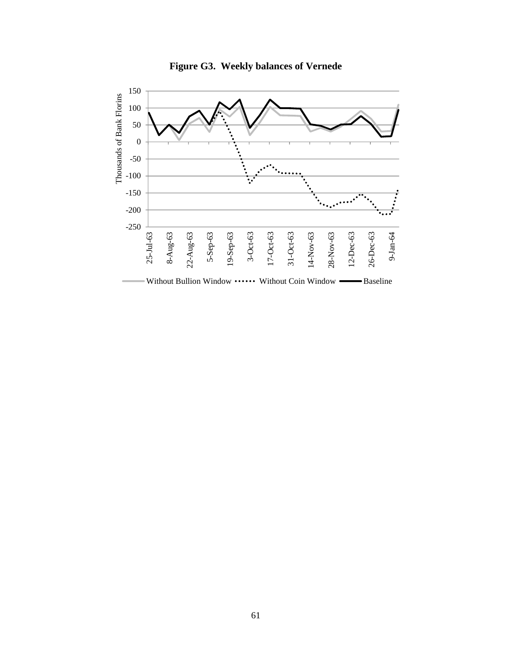

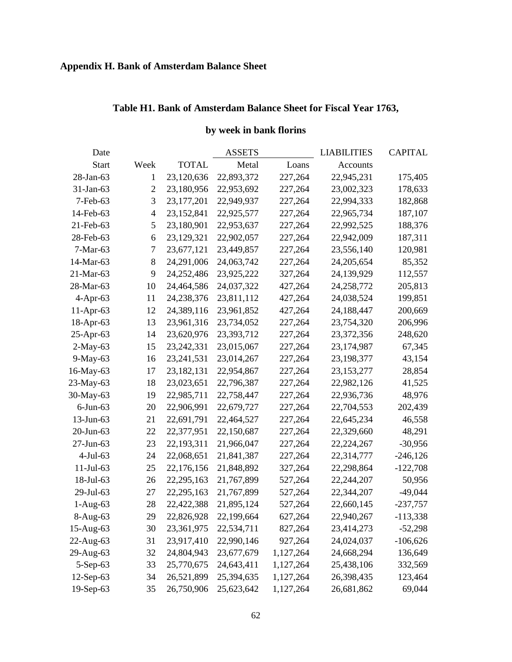# **Appendix H. Bank of Amsterdam Balance Sheet**

# **Table H1. Bank of Amsterdam Balance Sheet for Fiscal Year 1763,**

# **by week in bank florins**

| Date           |                |              | <b>ASSETS</b> |           | <b>LIABILITIES</b> | <b>CAPITAL</b> |
|----------------|----------------|--------------|---------------|-----------|--------------------|----------------|
| <b>Start</b>   | Week           | <b>TOTAL</b> | Metal         | Loans     | Accounts           |                |
| 28-Jan-63      | 1              | 23,120,636   | 22,893,372    | 227,264   | 22,945,231         | 175,405        |
| 31-Jan-63      | $\mathbf{2}$   | 23,180,956   | 22,953,692    | 227,264   | 23,002,323         | 178,633        |
| 7-Feb-63       | 3              | 23,177,201   | 22,949,937    | 227,264   | 22,994,333         | 182,868        |
| 14-Feb-63      | $\overline{4}$ | 23,152,841   | 22,925,577    | 227,264   | 22,965,734         | 187,107        |
| 21-Feb-63      | 5              | 23,180,901   | 22,953,637    | 227,264   | 22,992,525         | 188,376        |
| 28-Feb-63      | 6              | 23,129,321   | 22,902,057    | 227,264   | 22,942,009         | 187,311        |
| 7-Mar-63       | $\tau$         | 23,677,121   | 23,449,857    | 227,264   | 23,556,140         | 120,981        |
| 14-Mar-63      | 8              | 24,291,006   | 24,063,742    | 227,264   | 24, 205, 654       | 85,352         |
| 21-Mar-63      | 9              | 24,252,486   | 23,925,222    | 327,264   | 24,139,929         | 112,557        |
| 28-Mar-63      | 10             | 24,464,586   | 24,037,322    | 427,264   | 24,258,772         | 205,813        |
| $4-Apr-63$     | 11             | 24, 238, 376 | 23,811,112    | 427,264   | 24,038,524         | 199,851        |
| 11-Apr-63      | 12             | 24,389,116   | 23,961,852    | 427,264   | 24,188,447         | 200,669        |
| 18-Apr-63      | 13             | 23,961,316   | 23,734,052    | 227,264   | 23,754,320         | 206,996        |
| 25-Apr-63      | 14             | 23,620,976   | 23,393,712    | 227,264   | 23,372,356         | 248,620        |
| $2-May-63$     | 15             | 23, 242, 331 | 23,015,067    | 227,264   | 23,174,987         | 67,345         |
| 9-May-63       | 16             | 23, 241, 531 | 23,014,267    | 227,264   | 23,198,377         | 43,154         |
| 16-May-63      | 17             | 23,182,131   | 22,954,867    | 227,264   | 23,153,277         | 28,854         |
| 23-May-63      | 18             | 23,023,651   | 22,796,387    | 227,264   | 22,982,126         | 41,525         |
| 30-May-63      | 19             | 22,985,711   | 22,758,447    | 227,264   | 22,936,736         | 48,976         |
| $6$ -Jun- $63$ | 20             | 22,906,991   | 22,679,727    | 227,264   | 22,704,553         | 202,439        |
| 13-Jun-63      | 21             | 22,691,791   | 22,464,527    | 227,264   | 22,645,234         | 46,558         |
| 20-Jun-63      | 22             | 22,377,951   | 22,150,687    | 227,264   | 22,329,660         | 48,291         |
| 27-Jun-63      | 23             | 22,193,311   | 21,966,047    | 227,264   | 22,224,267         | $-30,956$      |
| $4-Jul-63$     | 24             | 22,068,651   | 21,841,387    | 227,264   | 22,314,777         | $-246, 126$    |
| $11$ -Jul-63   | 25             | 22,176,156   | 21,848,892    | 327,264   | 22,298,864         | $-122,708$     |
| 18-Jul-63      | 26             | 22, 295, 163 | 21,767,899    | 527,264   | 22,244,207         | 50,956         |
| 29-Jul-63      | 27             | 22,295,163   | 21,767,899    | 527,264   | 22,344,207         | $-49,044$      |
| $1-Aug-63$     | 28             | 22,422,388   | 21,895,124    | 527,264   | 22,660,145         | $-237,757$     |
| 8-Aug-63       | 29             | 22,826,928   | 22,199,664    | 627,264   | 22,940,267         | $-113,338$     |
| 15-Aug-63      | 30             | 23,361,975   | 22,534,711    | 827,264   | 23,414,273         | $-52,298$      |
| 22-Aug-63      | 31             | 23,917,410   | 22,990,146    | 927,264   | 24,024,037         | $-106,626$     |
| 29-Aug-63      | 32             | 24,804,943   | 23,677,679    | 1,127,264 | 24,668,294         | 136,649        |
| 5-Sep-63       | 33             | 25,770,675   | 24,643,411    | 1,127,264 | 25,438,106         | 332,569        |
| 12-Sep-63      | 34             | 26,521,899   | 25,394,635    | 1,127,264 | 26,398,435         | 123,464        |
| 19-Sep-63      | 35             | 26,750,906   | 25,623,642    | 1,127,264 | 26,681,862         | 69,044         |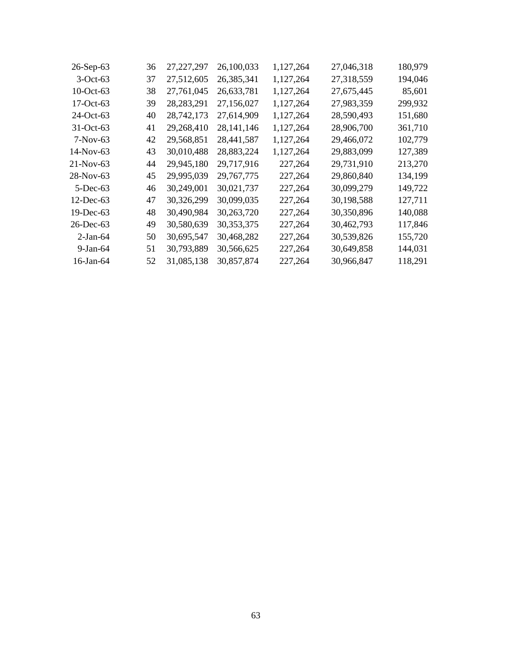| 36 | 27,227,297 | 26,100,033   | 1,127,264 | 27,046,318 | 180,979 |
|----|------------|--------------|-----------|------------|---------|
| 37 | 27,512,605 | 26, 385, 341 | 1,127,264 | 27,318,559 | 194,046 |
| 38 | 27,761,045 | 26,633,781   | 1,127,264 | 27,675,445 | 85,601  |
| 39 | 28,283,291 | 27,156,027   | 1,127,264 | 27,983,359 | 299,932 |
| 40 | 28,742,173 | 27,614,909   | 1,127,264 | 28,590,493 | 151,680 |
| 41 | 29,268,410 | 28, 141, 146 | 1,127,264 | 28,906,700 | 361,710 |
| 42 | 29,568,851 | 28,441,587   | 1,127,264 | 29,466,072 | 102,779 |
| 43 | 30,010,488 | 28,883,224   | 1,127,264 | 29,883,099 | 127,389 |
| 44 | 29,945,180 | 29,717,916   | 227,264   | 29,731,910 | 213,270 |
| 45 | 29,995,039 | 29,767,775   | 227,264   | 29,860,840 | 134,199 |
| 46 | 30,249,001 | 30,021,737   | 227,264   | 30,099,279 | 149,722 |
| 47 | 30,326,299 | 30,099,035   | 227,264   | 30,198,588 | 127,711 |
| 48 | 30,490,984 | 30,263,720   | 227,264   | 30,350,896 | 140,088 |
| 49 | 30,580,639 | 30, 353, 375 | 227,264   | 30,462,793 | 117,846 |
| 50 | 30,695,547 | 30,468,282   | 227,264   | 30,539,826 | 155,720 |
| 51 | 30,793,889 | 30,566,625   | 227,264   | 30,649,858 | 144,031 |
| 52 | 31,085,138 | 30,857,874   | 227,264   | 30,966,847 | 118,291 |
|    |            |              |           |            |         |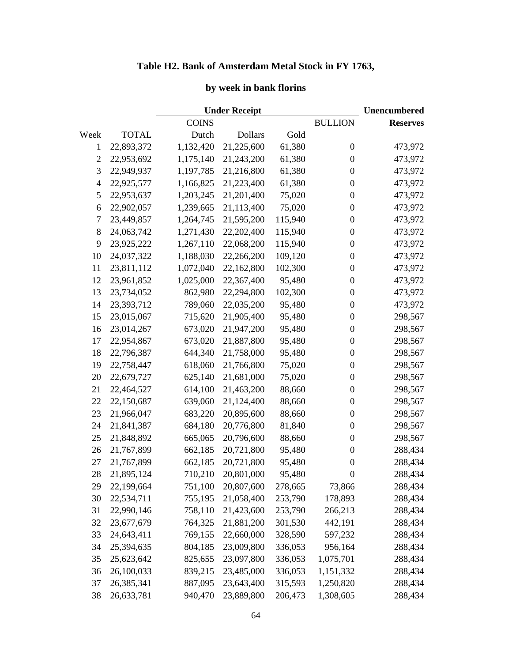# **Table H2. Bank of Amsterdam Metal Stock in FY 1763,**

# **by week in bank florins**

|                  |              | <b>Under Receipt</b> |                |         |                  | Unencumbered    |
|------------------|--------------|----------------------|----------------|---------|------------------|-----------------|
|                  |              | <b>COINS</b>         |                |         | <b>BULLION</b>   | <b>Reserves</b> |
| Week             | <b>TOTAL</b> | Dutch                | <b>Dollars</b> | Gold    |                  |                 |
| $\mathbf{1}$     | 22,893,372   | 1,132,420            | 21,225,600     | 61,380  | $\boldsymbol{0}$ | 473,972         |
| $\sqrt{2}$       | 22,953,692   | 1,175,140            | 21,243,200     | 61,380  | $\boldsymbol{0}$ | 473,972         |
| 3                | 22,949,937   | 1,197,785            | 21,216,800     | 61,380  | $\boldsymbol{0}$ | 473,972         |
| $\overline{4}$   | 22,925,577   | 1,166,825            | 21,223,400     | 61,380  | $\boldsymbol{0}$ | 473,972         |
| $\mathfrak{S}$   | 22,953,637   | 1,203,245            | 21,201,400     | 75,020  | $\boldsymbol{0}$ | 473,972         |
| 6                | 22,902,057   | 1,239,665            | 21,113,400     | 75,020  | $\boldsymbol{0}$ | 473,972         |
| $\boldsymbol{7}$ | 23,449,857   | 1,264,745            | 21,595,200     | 115,940 | $\boldsymbol{0}$ | 473,972         |
| $\,8\,$          | 24,063,742   | 1,271,430            | 22,202,400     | 115,940 | $\boldsymbol{0}$ | 473,972         |
| 9                | 23,925,222   | 1,267,110            | 22,068,200     | 115,940 | $\boldsymbol{0}$ | 473,972         |
| 10               | 24,037,322   | 1,188,030            | 22,266,200     | 109,120 | $\boldsymbol{0}$ | 473,972         |
| 11               | 23,811,112   | 1,072,040            | 22,162,800     | 102,300 | $\boldsymbol{0}$ | 473,972         |
| 12               | 23,961,852   | 1,025,000            | 22,367,400     | 95,480  | $\boldsymbol{0}$ | 473,972         |
| 13               | 23,734,052   | 862,980              | 22,294,800     | 102,300 | $\boldsymbol{0}$ | 473,972         |
| 14               | 23,393,712   | 789,060              | 22,035,200     | 95,480  | $\boldsymbol{0}$ | 473,972         |
| 15               | 23,015,067   | 715,620              | 21,905,400     | 95,480  | $\boldsymbol{0}$ | 298,567         |
| 16               | 23,014,267   | 673,020              | 21,947,200     | 95,480  | $\boldsymbol{0}$ | 298,567         |
| 17               | 22,954,867   | 673,020              | 21,887,800     | 95,480  | $\boldsymbol{0}$ | 298,567         |
| 18               | 22,796,387   | 644,340              | 21,758,000     | 95,480  | $\boldsymbol{0}$ | 298,567         |
| 19               | 22,758,447   | 618,060              | 21,766,800     | 75,020  | $\boldsymbol{0}$ | 298,567         |
| 20               | 22,679,727   | 625,140              | 21,681,000     | 75,020  | $\boldsymbol{0}$ | 298,567         |
| 21               | 22,464,527   | 614,100              | 21,463,200     | 88,660  | $\boldsymbol{0}$ | 298,567         |
| 22               | 22,150,687   | 639,060              | 21,124,400     | 88,660  | $\boldsymbol{0}$ | 298,567         |
| 23               | 21,966,047   | 683,220              | 20,895,600     | 88,660  | $\boldsymbol{0}$ | 298,567         |
| 24               | 21,841,387   | 684,180              | 20,776,800     | 81,840  | $\boldsymbol{0}$ | 298,567         |
| 25               | 21,848,892   | 665,065              | 20,796,600     | 88,660  | $\boldsymbol{0}$ | 298,567         |
| 26               | 21,767,899   | 662,185              | 20,721,800     | 95,480  | $\boldsymbol{0}$ | 288,434         |
| $27\,$           | 21,767,899   | 662,185              | 20,721,800     | 95,480  | $\boldsymbol{0}$ | 288,434         |
| 28               | 21,895,124   | 710,210              | 20,801,000     | 95,480  | $\boldsymbol{0}$ | 288,434         |
| 29               | 22,199,664   | 751,100              | 20,807,600     | 278,665 | 73,866           | 288,434         |
| 30               | 22,534,711   | 755,195              | 21,058,400     | 253,790 | 178,893          | 288,434         |
| 31               | 22,990,146   | 758,110              | 21,423,600     | 253,790 | 266,213          | 288,434         |
| 32               | 23,677,679   | 764,325              | 21,881,200     | 301,530 | 442,191          | 288,434         |
| 33               | 24,643,411   | 769,155              | 22,660,000     | 328,590 | 597,232          | 288,434         |
| 34               | 25,394,635   | 804,185              | 23,009,800     | 336,053 | 956,164          | 288,434         |
| 35               | 25,623,642   | 825,655              | 23,097,800     | 336,053 | 1,075,701        | 288,434         |
| 36               | 26,100,033   | 839,215              | 23,485,000     | 336,053 | 1,151,332        | 288,434         |
| 37               | 26,385,341   | 887,095              | 23,643,400     | 315,593 | 1,250,820        | 288,434         |
| 38               | 26,633,781   | 940,470              | 23,889,800     | 206,473 | 1,308,605        | 288,434         |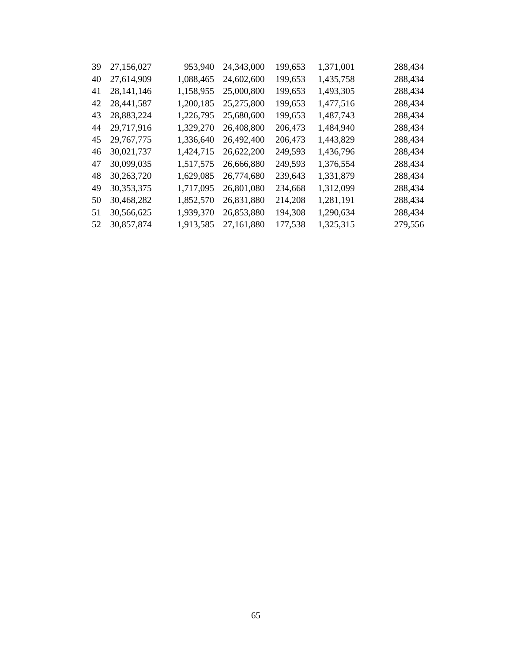| 39 | 27,156,027   | 953,940   | 24,343,000 | 199,653 | 1,371,001 | 288,434 |
|----|--------------|-----------|------------|---------|-----------|---------|
| 40 | 27,614,909   | 1,088,465 | 24,602,600 | 199,653 | 1,435,758 | 288,434 |
| 41 | 28, 141, 146 | 1,158,955 | 25,000,800 | 199,653 | 1,493,305 | 288,434 |
| 42 | 28,441,587   | 1,200,185 | 25,275,800 | 199,653 | 1,477,516 | 288,434 |
| 43 | 28,883,224   | 1,226,795 | 25,680,600 | 199,653 | 1,487,743 | 288,434 |
| 44 | 29,717,916   | 1,329,270 | 26,408,800 | 206,473 | 1,484,940 | 288,434 |
| 45 | 29,767,775   | 1,336,640 | 26,492,400 | 206,473 | 1,443,829 | 288,434 |
| 46 | 30,021,737   | 1,424,715 | 26,622,200 | 249,593 | 1,436,796 | 288,434 |
| 47 | 30,099,035   | 1,517,575 | 26,666,880 | 249,593 | 1,376,554 | 288,434 |
| 48 | 30,263,720   | 1,629,085 | 26,774,680 | 239,643 | 1,331,879 | 288,434 |
| 49 | 30, 353, 375 | 1,717,095 | 26,801,080 | 234,668 | 1,312,099 | 288,434 |
| 50 | 30,468,282   | 1,852,570 | 26,831,880 | 214,208 | 1,281,191 | 288,434 |
| 51 | 30,566,625   | 1,939,370 | 26,853,880 | 194,308 | 1,290,634 | 288,434 |
| 52 | 30,857,874   | 1,913,585 | 27,161,880 | 177,538 | 1,325,315 | 279,556 |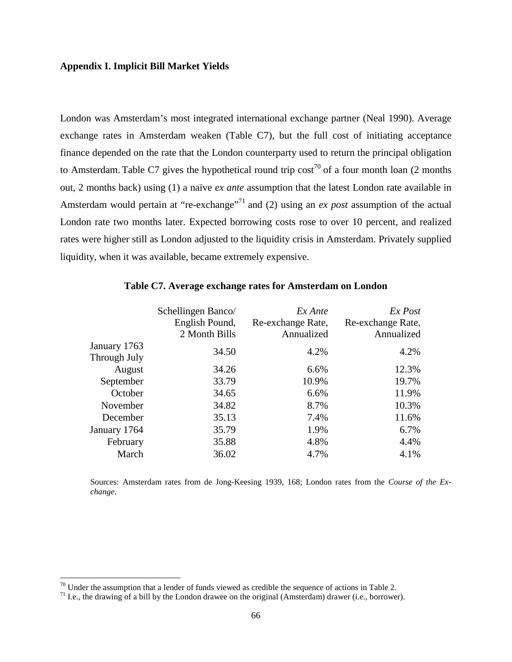#### **Appendix I. Implicit Bill Market Yields**

London was Amsterdam's most integrated international exchange partner (Neal 1990). Average exchange rates in Amsterdam weaken (Table C7), but the full cost of initiating acceptance finance depended on the rate that the London counterparty used to return the principal obligation to Amsterdam. Table C7 gives the hypothetical round trip  $\cos t^{70}$  of a four month loan (2 months out, 2 months back) using (1) a naïve *ex ante* assumption that the latest London rate available in Amsterdam would pertain at "re-exchange"<sup>71</sup> and (2) using an *ex post* assumption of the actual London rate two months later. Expected borrowing costs rose to over 10 percent, and realized rates were higher still as London adjusted to the liquidity crisis in Amsterdam. Privately supplied liquidity, when it was available, became extremely expensive.

|                              | Schellingen Banco/<br>English Pound,<br>2 Month Bills | Ex Ante<br>Re-exchange Rate,<br>Annualized | Ex Post<br>Re-exchange Rate,<br>Annualized |
|------------------------------|-------------------------------------------------------|--------------------------------------------|--------------------------------------------|
| January 1763<br>Through July | 34.50                                                 | 4.2%                                       | 4.2%                                       |
| August                       | 34.26                                                 | 6.6%                                       | 12.3%                                      |
| September                    | 33.79                                                 | 10.9%                                      | 19.7%                                      |
| October                      | 34.65                                                 | 6.6%                                       | 11.9%                                      |
| November                     | 34.82                                                 | 8.7%                                       | 10.3%                                      |
| December                     | 35.13                                                 | 7.4%                                       | 11.6%                                      |
| January 1764                 | 35.79                                                 | 1.9%                                       | 6.7%                                       |
| February                     | 35.88                                                 | 4.8%                                       | 4.4%                                       |
| March                        | 36.02                                                 | 4.7%                                       | 4.1%                                       |

## **Table C7. Average exchange rates for Amsterdam on London**

Sources: Amsterdam rates from de Jong-Keesing 1939, 168; London rates from the *Course of the Exchange*.

**.** 

 $70$  Under the assumption that a lender of funds viewed as credible the sequence of actions in Table 2.

 $^{71}$  I.e., the drawing of a bill by the London drawee on the original (Amsterdam) drawer (i.e., borrower).